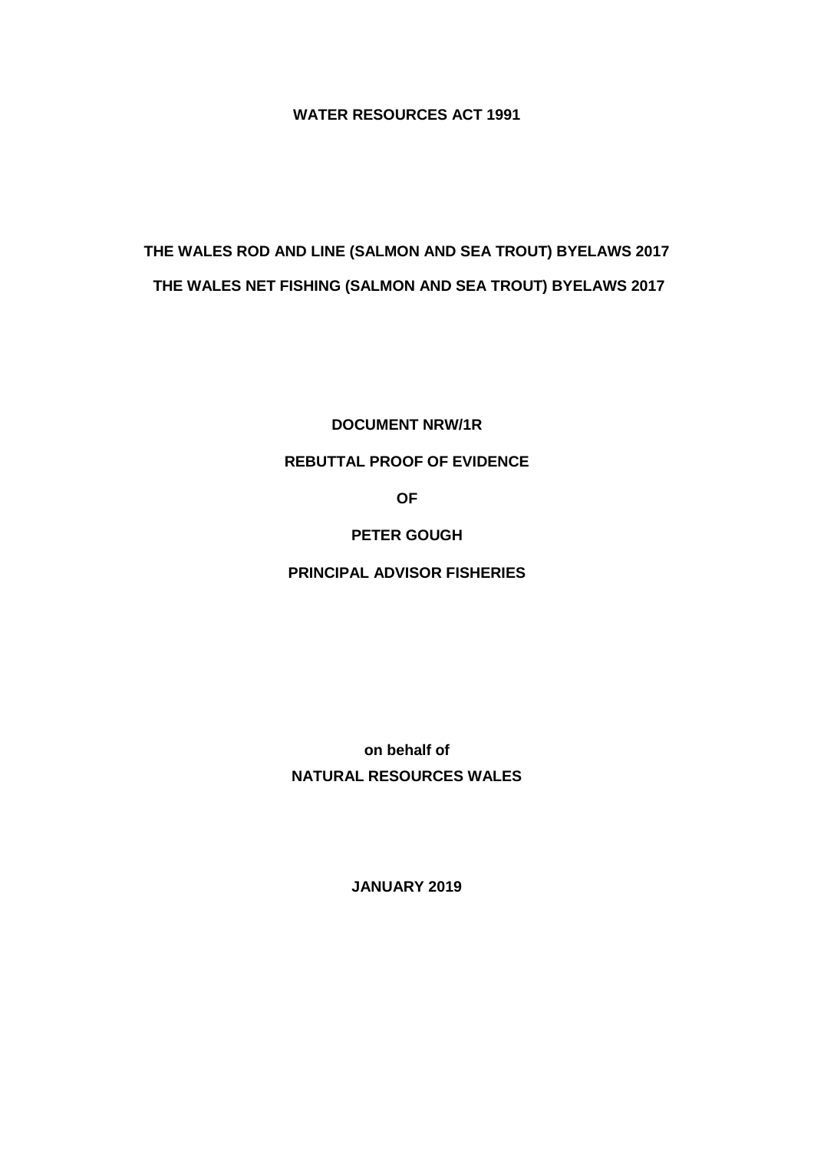**WATER RESOURCES ACT 1991**

# **THE WALES ROD AND LINE (SALMON AND SEA TROUT) BYELAWS 2017 THE WALES NET FISHING (SALMON AND SEA TROUT) BYELAWS 2017**

**DOCUMENT NRW/1R**

# **REBUTTAL PROOF OF EVIDENCE**

**OF**

**PETER GOUGH**

**PRINCIPAL ADVISOR FISHERIES**

**on behalf of NATURAL RESOURCES WALES**

**JANUARY 2019**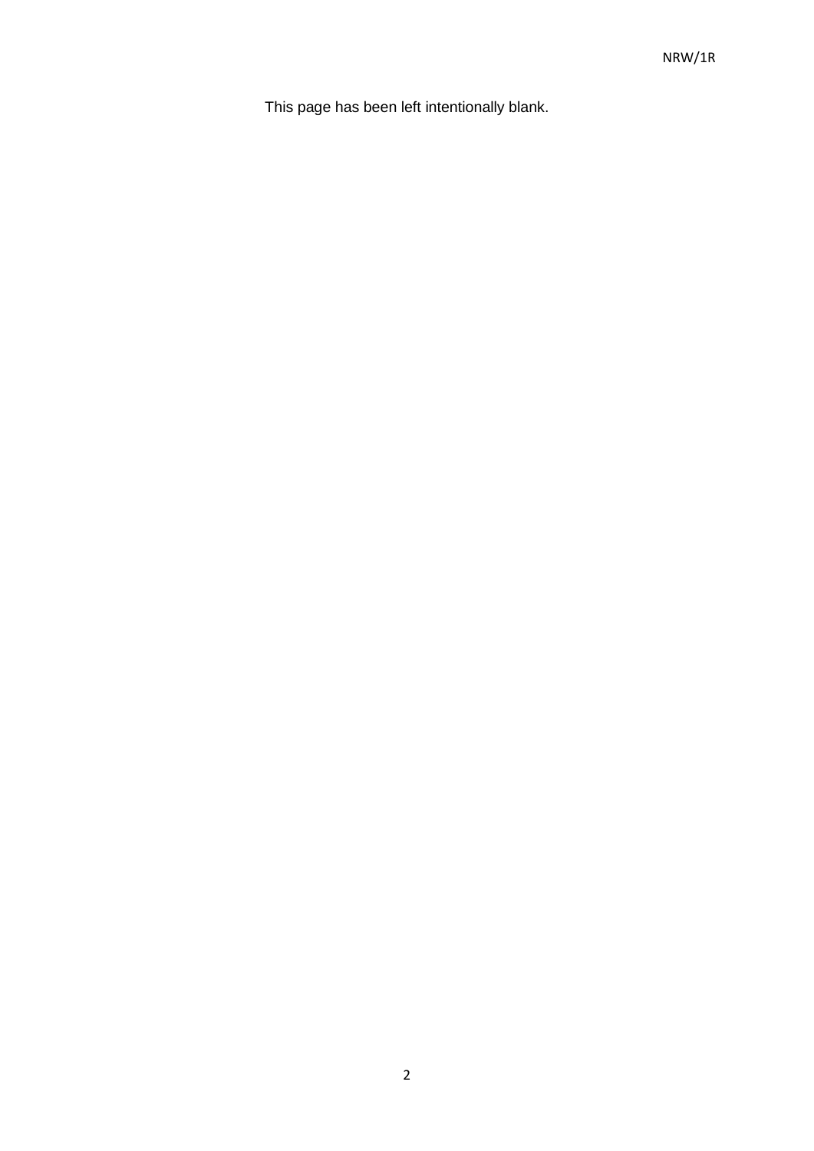This page has been left intentionally blank.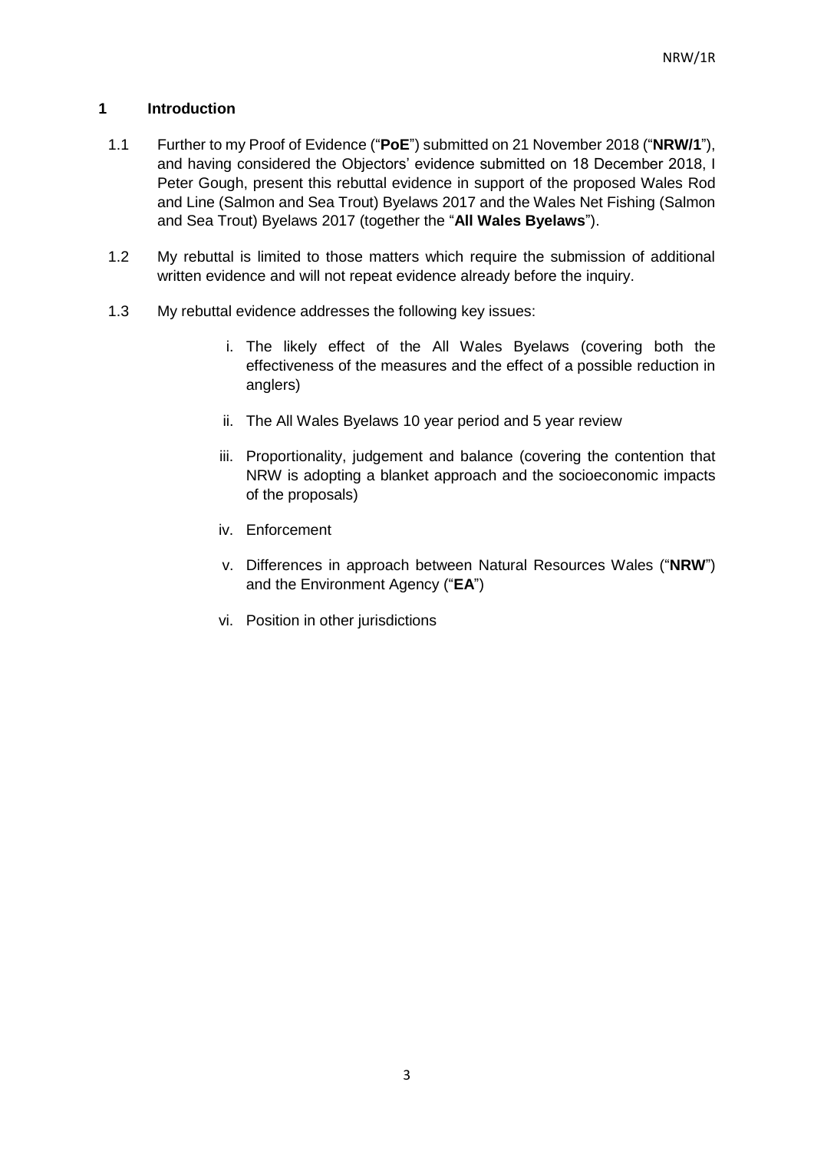#### **1 Introduction**

- 1.1 Further to my Proof of Evidence ("**PoE**") submitted on 21 November 2018 ("**NRW/1**"), and having considered the Objectors' evidence submitted on 18 December 2018, I Peter Gough, present this rebuttal evidence in support of the proposed Wales Rod and Line (Salmon and Sea Trout) Byelaws 2017 and the Wales Net Fishing (Salmon and Sea Trout) Byelaws 2017 (together the "**All Wales Byelaws**").
- 1.2 My rebuttal is limited to those matters which require the submission of additional written evidence and will not repeat evidence already before the inquiry.
- 1.3 My rebuttal evidence addresses the following key issues:
	- i. The likely effect of the All Wales Byelaws (covering both the effectiveness of the measures and the effect of a possible reduction in anglers)
	- ii. The All Wales Byelaws 10 year period and 5 year review
	- iii. Proportionality, judgement and balance (covering the contention that NRW is adopting a blanket approach and the socioeconomic impacts of the proposals)
	- iv. Enforcement
	- v. Differences in approach between Natural Resources Wales ("**NRW**") and the Environment Agency ("**EA**")
	- vi. Position in other jurisdictions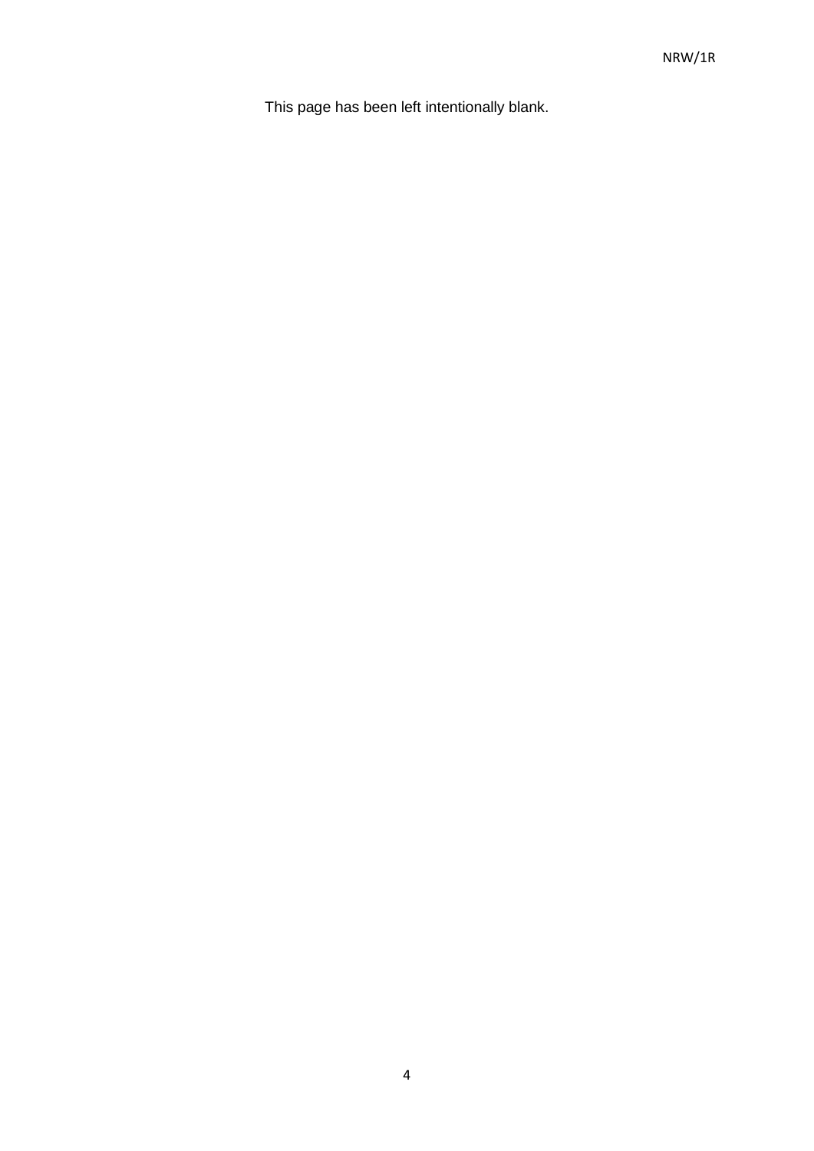This page has been left intentionally blank.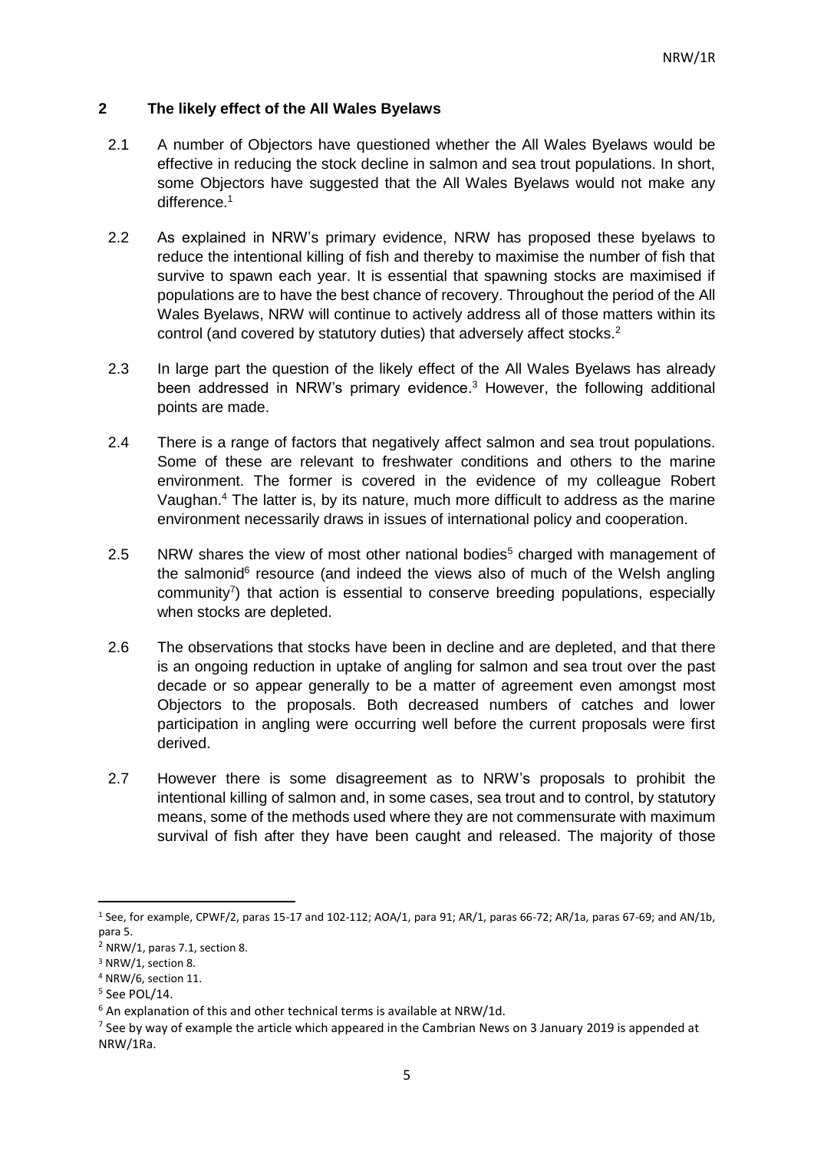## **2 The likely effect of the All Wales Byelaws**

- 2.1 A number of Objectors have questioned whether the All Wales Byelaws would be effective in reducing the stock decline in salmon and sea trout populations. In short, some Objectors have suggested that the All Wales Byelaws would not make any difference.<sup>1</sup>
- 2.2 As explained in NRW's primary evidence, NRW has proposed these byelaws to reduce the intentional killing of fish and thereby to maximise the number of fish that survive to spawn each year. It is essential that spawning stocks are maximised if populations are to have the best chance of recovery. Throughout the period of the All Wales Byelaws, NRW will continue to actively address all of those matters within its control (and covered by statutory duties) that adversely affect stocks.<sup>2</sup>
- 2.3 In large part the question of the likely effect of the All Wales Byelaws has already been addressed in NRW's primary evidence. <sup>3</sup> However, the following additional points are made.
- 2.4 There is a range of factors that negatively affect salmon and sea trout populations. Some of these are relevant to freshwater conditions and others to the marine environment. The former is covered in the evidence of my colleague Robert Vaughan. <sup>4</sup> The latter is, by its nature, much more difficult to address as the marine environment necessarily draws in issues of international policy and cooperation.
- 2.5 NRW shares the view of most other national bodies<sup>5</sup> charged with management of the salmonid<sup>6</sup> resource (and indeed the views also of much of the Welsh angling community<sup>7</sup>) that action is essential to conserve breeding populations, especially when stocks are depleted.
- 2.6 The observations that stocks have been in decline and are depleted, and that there is an ongoing reduction in uptake of angling for salmon and sea trout over the past decade or so appear generally to be a matter of agreement even amongst most Objectors to the proposals. Both decreased numbers of catches and lower participation in angling were occurring well before the current proposals were first derived.
- 2.7 However there is some disagreement as to NRW's proposals to prohibit the intentional killing of salmon and, in some cases, sea trout and to control, by statutory means, some of the methods used where they are not commensurate with maximum survival of fish after they have been caught and released. The majority of those

1

<sup>1</sup> See, for example, CPWF/2, paras 15-17 and 102-112; AOA/1, para 91; AR/1, paras 66-72; AR/1a, paras 67-69; and AN/1b, para 5.

 $2$  NRW/1, paras 7.1, section 8.

<sup>&</sup>lt;sup>3</sup> NRW/1, section 8.

<sup>4</sup> NRW/6, section 11.

<sup>5</sup> See POL/14.

 $6$  An explanation of this and other technical terms is available at NRW/1d.

<sup>&</sup>lt;sup>7</sup> See by way of example the article which appeared in the Cambrian News on 3 January 2019 is appended at NRW/1Ra.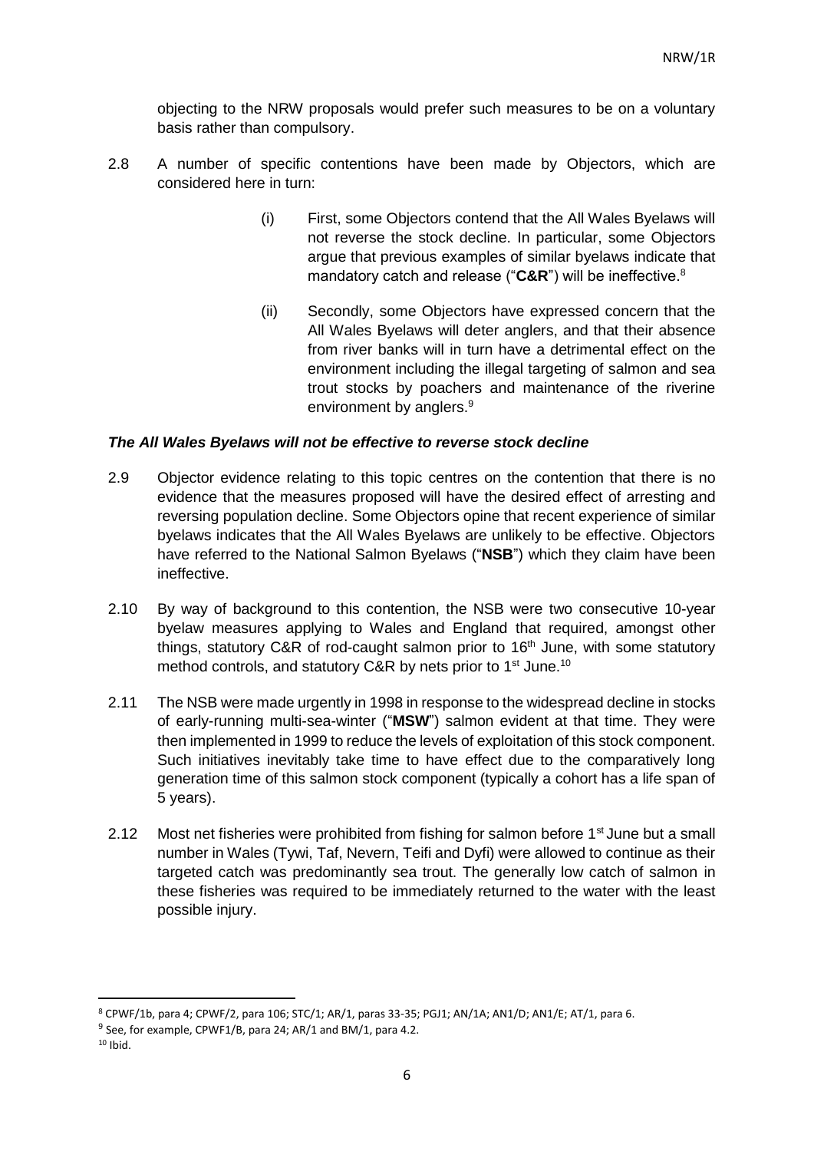objecting to the NRW proposals would prefer such measures to be on a voluntary basis rather than compulsory.

- 2.8 A number of specific contentions have been made by Objectors, which are considered here in turn:
	- (i) First, some Objectors contend that the All Wales Byelaws will not reverse the stock decline. In particular, some Objectors argue that previous examples of similar byelaws indicate that mandatory catch and release ("C&R") will be ineffective.<sup>8</sup>
	- (ii) Secondly, some Objectors have expressed concern that the All Wales Byelaws will deter anglers, and that their absence from river banks will in turn have a detrimental effect on the environment including the illegal targeting of salmon and sea trout stocks by poachers and maintenance of the riverine environment by anglers.<sup>9</sup>

## *The All Wales Byelaws will not be effective to reverse stock decline*

- 2.9 Objector evidence relating to this topic centres on the contention that there is no evidence that the measures proposed will have the desired effect of arresting and reversing population decline. Some Objectors opine that recent experience of similar byelaws indicates that the All Wales Byelaws are unlikely to be effective. Objectors have referred to the National Salmon Byelaws ("**NSB**") which they claim have been ineffective.
- 2.10 By way of background to this contention, the NSB were two consecutive 10-year byelaw measures applying to Wales and England that required, amongst other things, statutory C&R of rod-caught salmon prior to  $16<sup>th</sup>$  June, with some statutory method controls, and statutory C&R by nets prior to 1<sup>st</sup> June.<sup>10</sup>
- 2.11 The NSB were made urgently in 1998 in response to the widespread decline in stocks of early-running multi-sea-winter ("**MSW**") salmon evident at that time. They were then implemented in 1999 to reduce the levels of exploitation of this stock component. Such initiatives inevitably take time to have effect due to the comparatively long generation time of this salmon stock component (typically a cohort has a life span of 5 years).
- 2.12 Most net fisheries were prohibited from fishing for salmon before  $1<sup>st</sup>$  June but a small number in Wales (Tywi, Taf, Nevern, Teifi and Dyfi) were allowed to continue as their targeted catch was predominantly sea trout. The generally low catch of salmon in these fisheries was required to be immediately returned to the water with the least possible injury.

1

<sup>8</sup> CPWF/1b, para 4; CPWF/2, para 106; STC/1; AR/1, paras 33-35; PGJ1; AN/1A; AN1/D; AN1/E; AT/1, para 6.

 $<sup>9</sup>$  See, for example, CPWF1/B, para 24; AR/1 and BM/1, para 4.2.</sup>

<sup>10</sup> Ibid.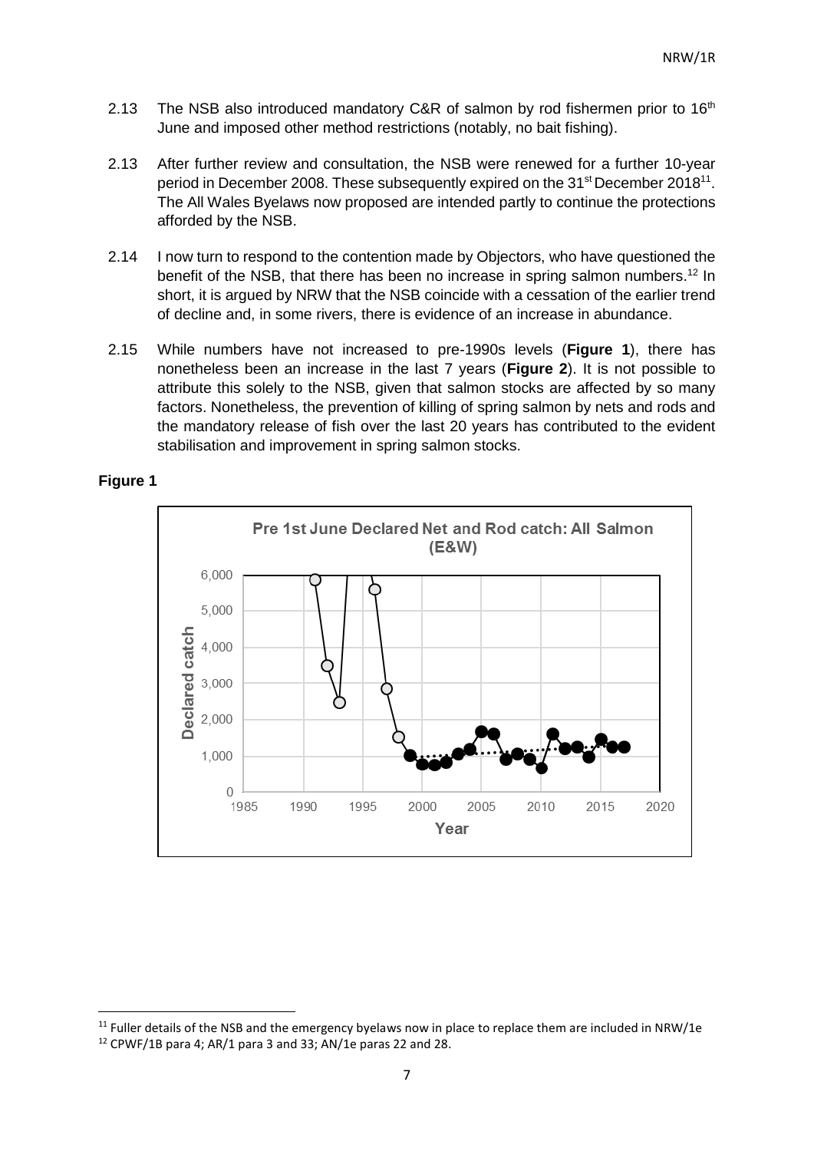- 2.13 The NSB also introduced mandatory C&R of salmon by rod fishermen prior to  $16<sup>th</sup>$ June and imposed other method restrictions (notably, no bait fishing).
- 2.13 After further review and consultation, the NSB were renewed for a further 10-year period in December 2008. These subsequently expired on the 31<sup>st</sup> December 2018<sup>11</sup>. The All Wales Byelaws now proposed are intended partly to continue the protections afforded by the NSB.
- 2.14 I now turn to respond to the contention made by Objectors, who have questioned the benefit of the NSB, that there has been no increase in spring salmon numbers.<sup>12</sup> In short, it is argued by NRW that the NSB coincide with a cessation of the earlier trend of decline and, in some rivers, there is evidence of an increase in abundance.
- 2.15 While numbers have not increased to pre-1990s levels (**Figure 1**), there has nonetheless been an increase in the last 7 years (**Figure 2**). It is not possible to attribute this solely to the NSB, given that salmon stocks are affected by so many factors. Nonetheless, the prevention of killing of spring salmon by nets and rods and the mandatory release of fish over the last 20 years has contributed to the evident stabilisation and improvement in spring salmon stocks.





<sup>&</sup>lt;sup>11</sup> Fuller details of the NSB and the emergency byelaws now in place to replace them are included in NRW/1e

<sup>12</sup> CPWF/1B para 4; AR/1 para 3 and 33; AN/1e paras 22 and 28.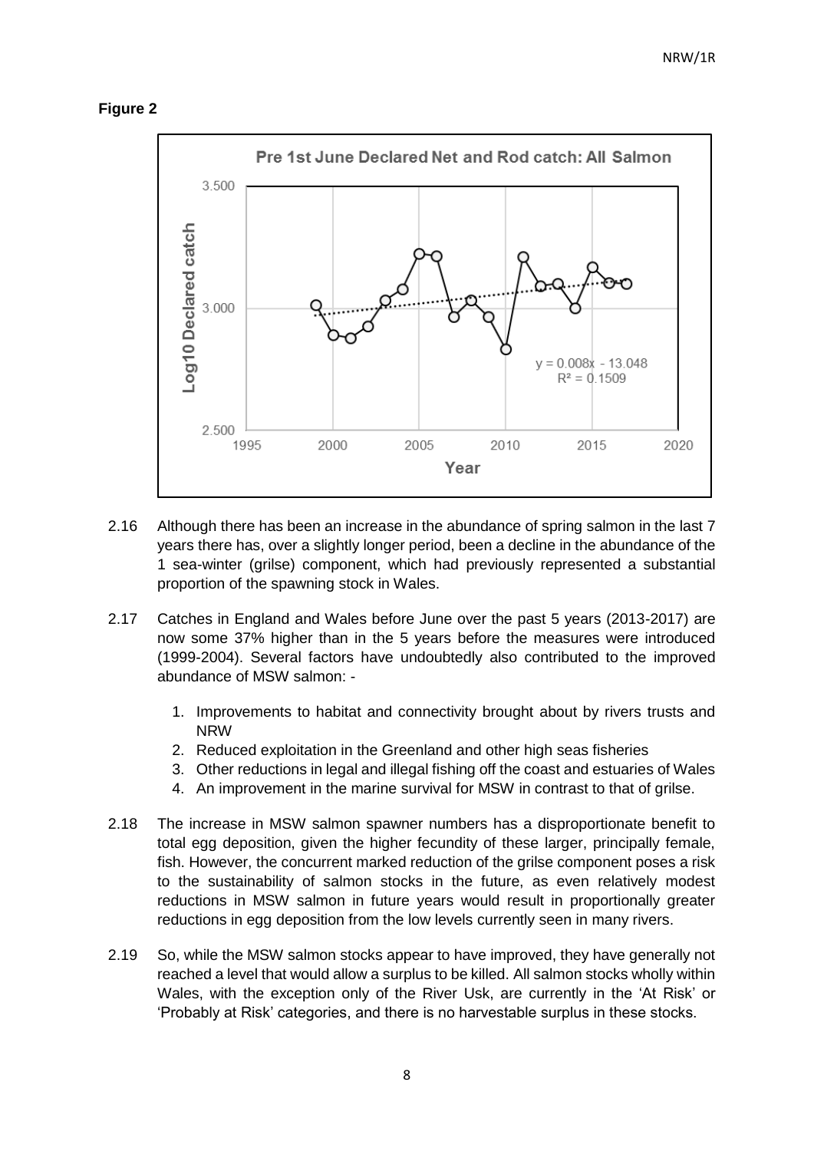#### **Figure 2**



- 2.16 Although there has been an increase in the abundance of spring salmon in the last 7 years there has, over a slightly longer period, been a decline in the abundance of the 1 sea-winter (grilse) component, which had previously represented a substantial proportion of the spawning stock in Wales.
- 2.17 Catches in England and Wales before June over the past 5 years (2013-2017) are now some 37% higher than in the 5 years before the measures were introduced (1999-2004). Several factors have undoubtedly also contributed to the improved abundance of MSW salmon: -
	- 1. Improvements to habitat and connectivity brought about by rivers trusts and NRW
	- 2. Reduced exploitation in the Greenland and other high seas fisheries
	- 3. Other reductions in legal and illegal fishing off the coast and estuaries of Wales
	- 4. An improvement in the marine survival for MSW in contrast to that of grilse.
- 2.18 The increase in MSW salmon spawner numbers has a disproportionate benefit to total egg deposition, given the higher fecundity of these larger, principally female, fish. However, the concurrent marked reduction of the grilse component poses a risk to the sustainability of salmon stocks in the future, as even relatively modest reductions in MSW salmon in future years would result in proportionally greater reductions in egg deposition from the low levels currently seen in many rivers.
- 2.19 So, while the MSW salmon stocks appear to have improved, they have generally not reached a level that would allow a surplus to be killed. All salmon stocks wholly within Wales, with the exception only of the River Usk, are currently in the 'At Risk' or 'Probably at Risk' categories, and there is no harvestable surplus in these stocks.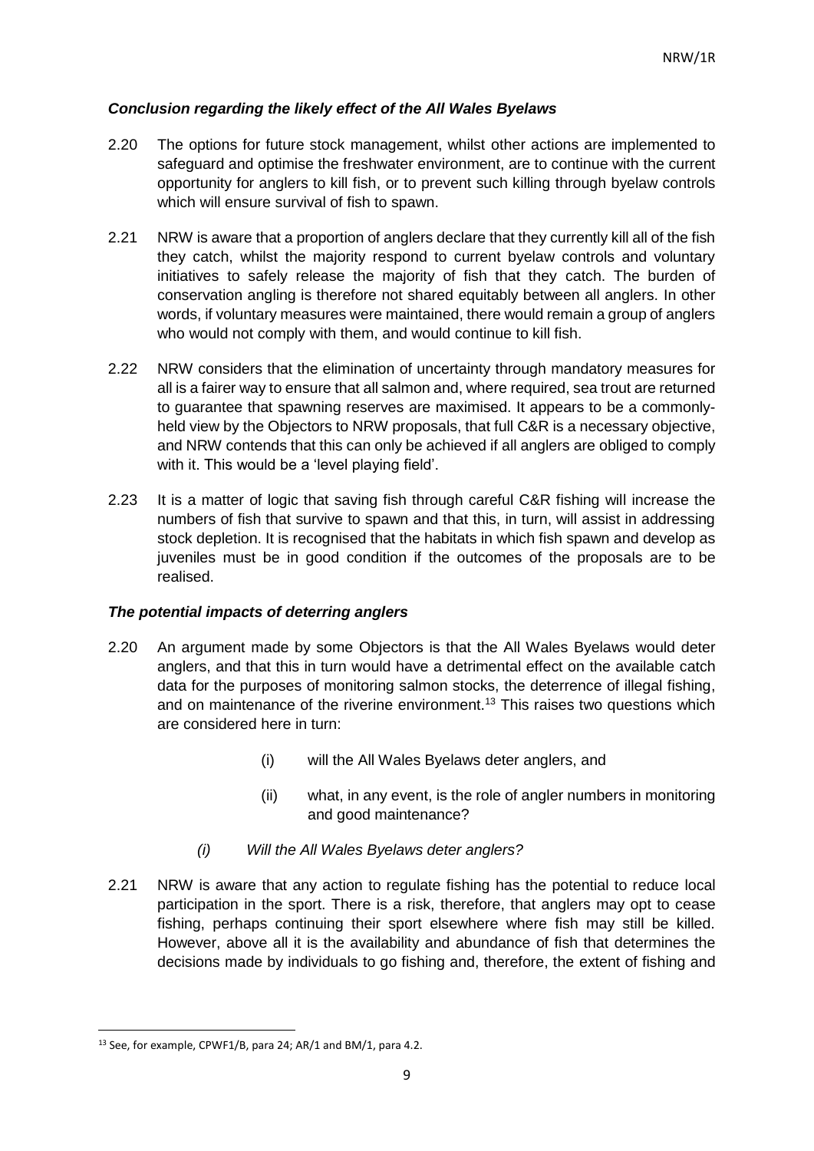# *Conclusion regarding the likely effect of the All Wales Byelaws*

- 2.20 The options for future stock management, whilst other actions are implemented to safeguard and optimise the freshwater environment, are to continue with the current opportunity for anglers to kill fish, or to prevent such killing through byelaw controls which will ensure survival of fish to spawn.
- 2.21 NRW is aware that a proportion of anglers declare that they currently kill all of the fish they catch, whilst the majority respond to current byelaw controls and voluntary initiatives to safely release the majority of fish that they catch. The burden of conservation angling is therefore not shared equitably between all anglers. In other words, if voluntary measures were maintained, there would remain a group of anglers who would not comply with them, and would continue to kill fish.
- 2.22 NRW considers that the elimination of uncertainty through mandatory measures for all is a fairer way to ensure that all salmon and, where required, sea trout are returned to guarantee that spawning reserves are maximised. It appears to be a commonlyheld view by the Objectors to NRW proposals, that full C&R is a necessary objective, and NRW contends that this can only be achieved if all anglers are obliged to comply with it. This would be a 'level playing field'.
- 2.23 It is a matter of logic that saving fish through careful C&R fishing will increase the numbers of fish that survive to spawn and that this, in turn, will assist in addressing stock depletion. It is recognised that the habitats in which fish spawn and develop as juveniles must be in good condition if the outcomes of the proposals are to be realised.

## *The potential impacts of deterring anglers*

- 2.20 An argument made by some Objectors is that the All Wales Byelaws would deter anglers, and that this in turn would have a detrimental effect on the available catch data for the purposes of monitoring salmon stocks, the deterrence of illegal fishing, and on maintenance of the riverine environment.<sup>13</sup> This raises two questions which are considered here in turn:
	- (i) will the All Wales Byelaws deter anglers, and
	- (ii) what, in any event, is the role of angler numbers in monitoring and good maintenance?
	- *(i) Will the All Wales Byelaws deter anglers?*
- 2.21 NRW is aware that any action to regulate fishing has the potential to reduce local participation in the sport. There is a risk, therefore, that anglers may opt to cease fishing, perhaps continuing their sport elsewhere where fish may still be killed. However, above all it is the availability and abundance of fish that determines the decisions made by individuals to go fishing and, therefore, the extent of fishing and

<sup>13</sup> See, for example, CPWF1/B, para 24; AR/1 and BM/1, para 4.2.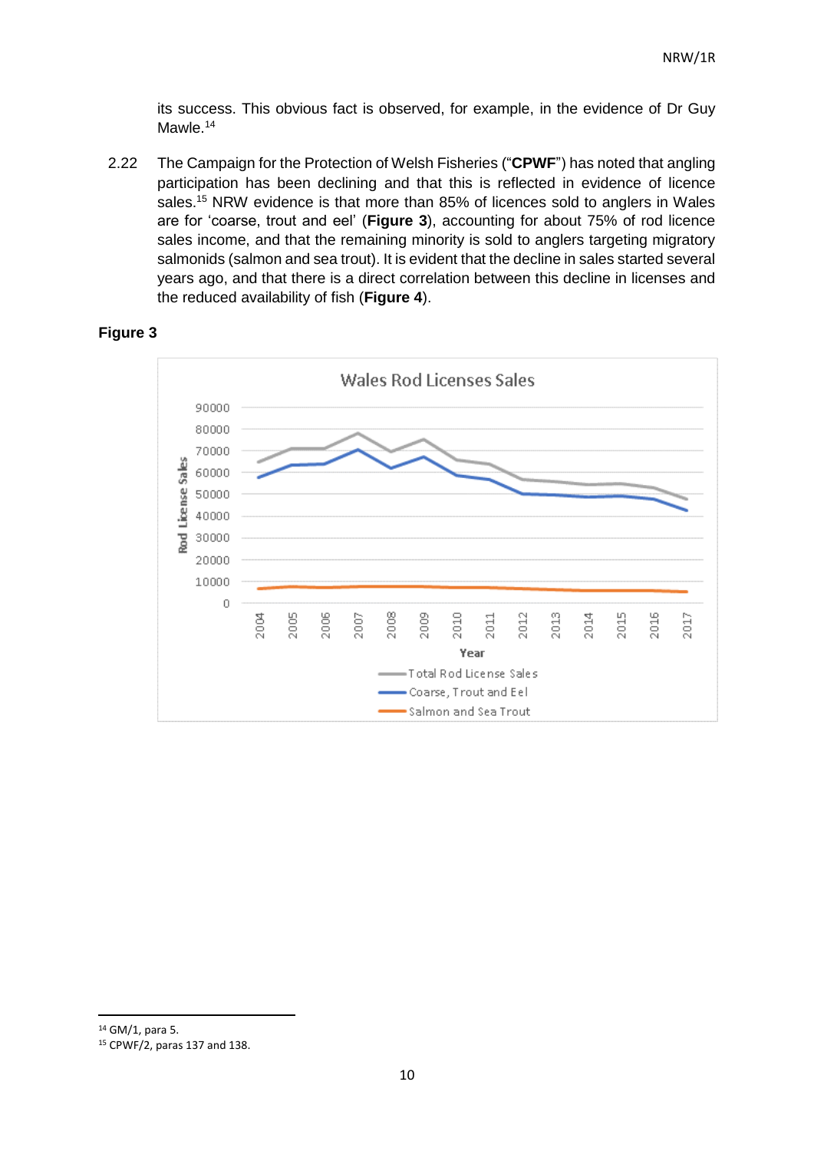its success. This obvious fact is observed, for example, in the evidence of Dr Guy Mawle.<sup>14</sup>

2.22 The Campaign for the Protection of Welsh Fisheries ("**CPWF**") has noted that angling participation has been declining and that this is reflected in evidence of licence sales. <sup>15</sup> NRW evidence is that more than 85% of licences sold to anglers in Wales are for 'coarse, trout and eel' (**Figure 3**), accounting for about 75% of rod licence sales income, and that the remaining minority is sold to anglers targeting migratory salmonids (salmon and sea trout). It is evident that the decline in sales started several years ago, and that there is a direct correlation between this decline in licenses and the reduced availability of fish (**Figure 4**).



#### **Figure 3**

<sup>14</sup> GM/1, para 5.

<sup>15</sup> CPWF/2, paras 137 and 138.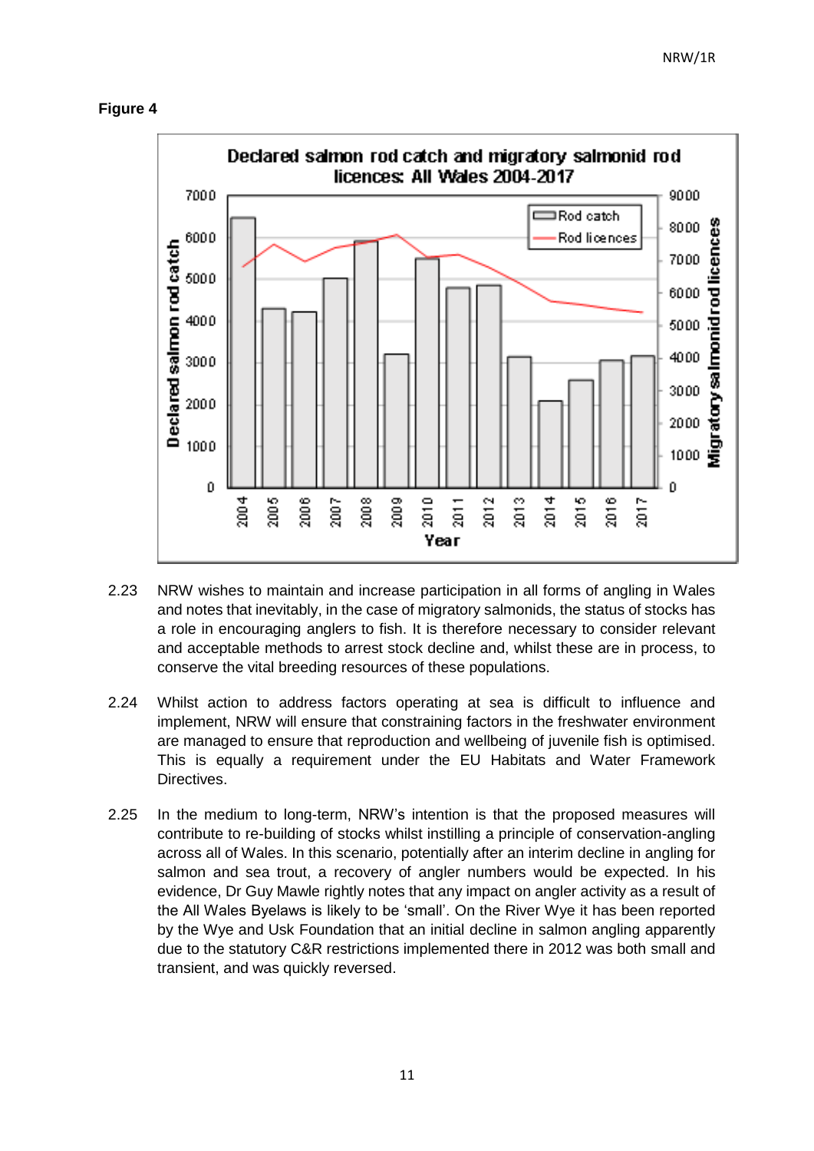



- 2.23 NRW wishes to maintain and increase participation in all forms of angling in Wales and notes that inevitably, in the case of migratory salmonids, the status of stocks has a role in encouraging anglers to fish. It is therefore necessary to consider relevant and acceptable methods to arrest stock decline and, whilst these are in process, to conserve the vital breeding resources of these populations.
- 2.24 Whilst action to address factors operating at sea is difficult to influence and implement, NRW will ensure that constraining factors in the freshwater environment are managed to ensure that reproduction and wellbeing of juvenile fish is optimised. This is equally a requirement under the EU Habitats and Water Framework Directives.
- 2.25 In the medium to long-term, NRW's intention is that the proposed measures will contribute to re-building of stocks whilst instilling a principle of conservation-angling across all of Wales. In this scenario, potentially after an interim decline in angling for salmon and sea trout, a recovery of angler numbers would be expected. In his evidence, Dr Guy Mawle rightly notes that any impact on angler activity as a result of the All Wales Byelaws is likely to be 'small'. On the River Wye it has been reported by the Wye and Usk Foundation that an initial decline in salmon angling apparently due to the statutory C&R restrictions implemented there in 2012 was both small and transient, and was quickly reversed.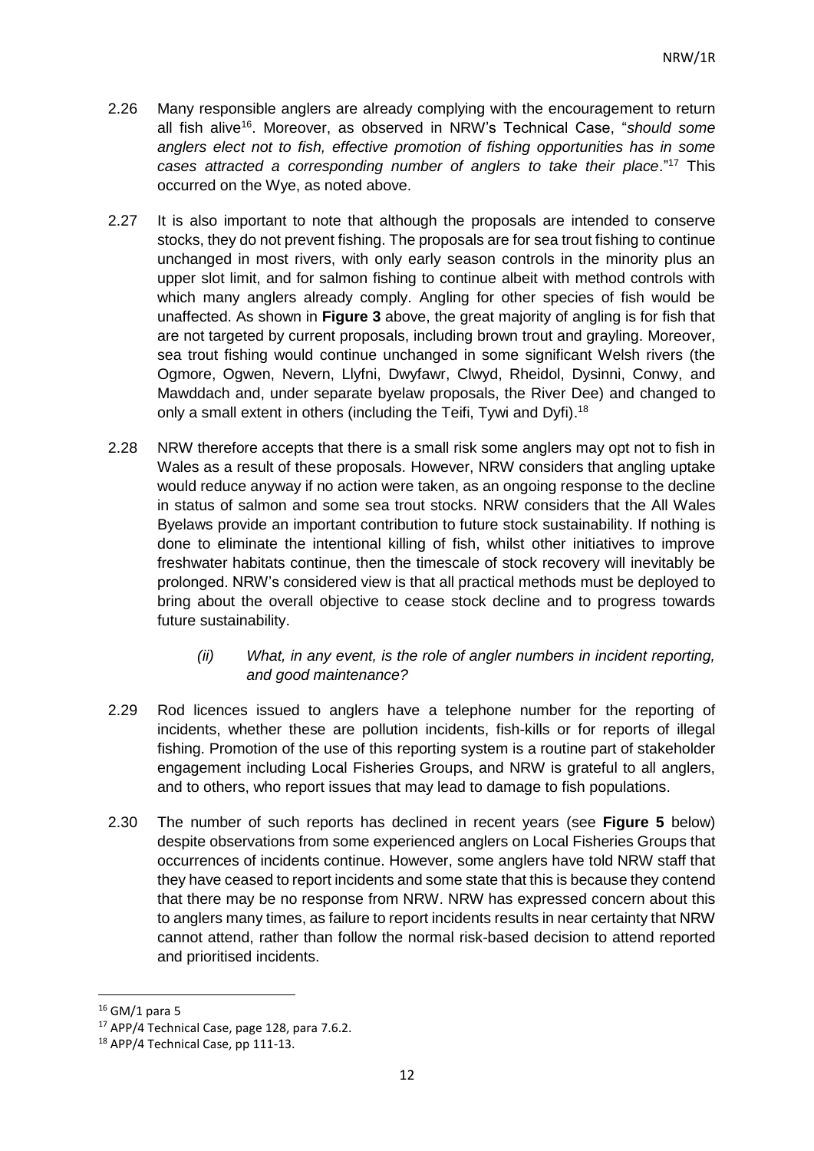- 2.26 Many responsible anglers are already complying with the encouragement to return all fish alive<sup>16</sup> . Moreover, as observed in NRW's Technical Case, "*should some anglers elect not to fish, effective promotion of fishing opportunities has in some cases attracted a corresponding number of anglers to take their place*."<sup>17</sup> This occurred on the Wye, as noted above.
- 2.27 It is also important to note that although the proposals are intended to conserve stocks, they do not prevent fishing. The proposals are for sea trout fishing to continue unchanged in most rivers, with only early season controls in the minority plus an upper slot limit, and for salmon fishing to continue albeit with method controls with which many anglers already comply. Angling for other species of fish would be unaffected. As shown in **Figure 3** above, the great majority of angling is for fish that are not targeted by current proposals, including brown trout and grayling. Moreover, sea trout fishing would continue unchanged in some significant Welsh rivers (the Ogmore, Ogwen, Nevern, Llyfni, Dwyfawr, Clwyd, Rheidol, Dysinni, Conwy, and Mawddach and, under separate byelaw proposals, the River Dee) and changed to only a small extent in others (including the Teifi, Tywi and Dyfi).<sup>18</sup>
- 2.28 NRW therefore accepts that there is a small risk some anglers may opt not to fish in Wales as a result of these proposals. However, NRW considers that angling uptake would reduce anyway if no action were taken, as an ongoing response to the decline in status of salmon and some sea trout stocks. NRW considers that the All Wales Byelaws provide an important contribution to future stock sustainability. If nothing is done to eliminate the intentional killing of fish, whilst other initiatives to improve freshwater habitats continue, then the timescale of stock recovery will inevitably be prolonged. NRW's considered view is that all practical methods must be deployed to bring about the overall objective to cease stock decline and to progress towards future sustainability.
	- *(ii) What, in any event, is the role of angler numbers in incident reporting, and good maintenance?*
- 2.29 Rod licences issued to anglers have a telephone number for the reporting of incidents, whether these are pollution incidents, fish-kills or for reports of illegal fishing. Promotion of the use of this reporting system is a routine part of stakeholder engagement including Local Fisheries Groups, and NRW is grateful to all anglers, and to others, who report issues that may lead to damage to fish populations.
- 2.30 The number of such reports has declined in recent years (see **Figure 5** below) despite observations from some experienced anglers on Local Fisheries Groups that occurrences of incidents continue. However, some anglers have told NRW staff that they have ceased to report incidents and some state that this is because they contend that there may be no response from NRW. NRW has expressed concern about this to anglers many times, as failure to report incidents results in near certainty that NRW cannot attend, rather than follow the normal risk-based decision to attend reported and prioritised incidents.

 $16$  GM/1 para 5

<sup>17</sup> APP/4 Technical Case, page 128, para 7.6.2.

<sup>18</sup> APP/4 Technical Case, pp 111-13.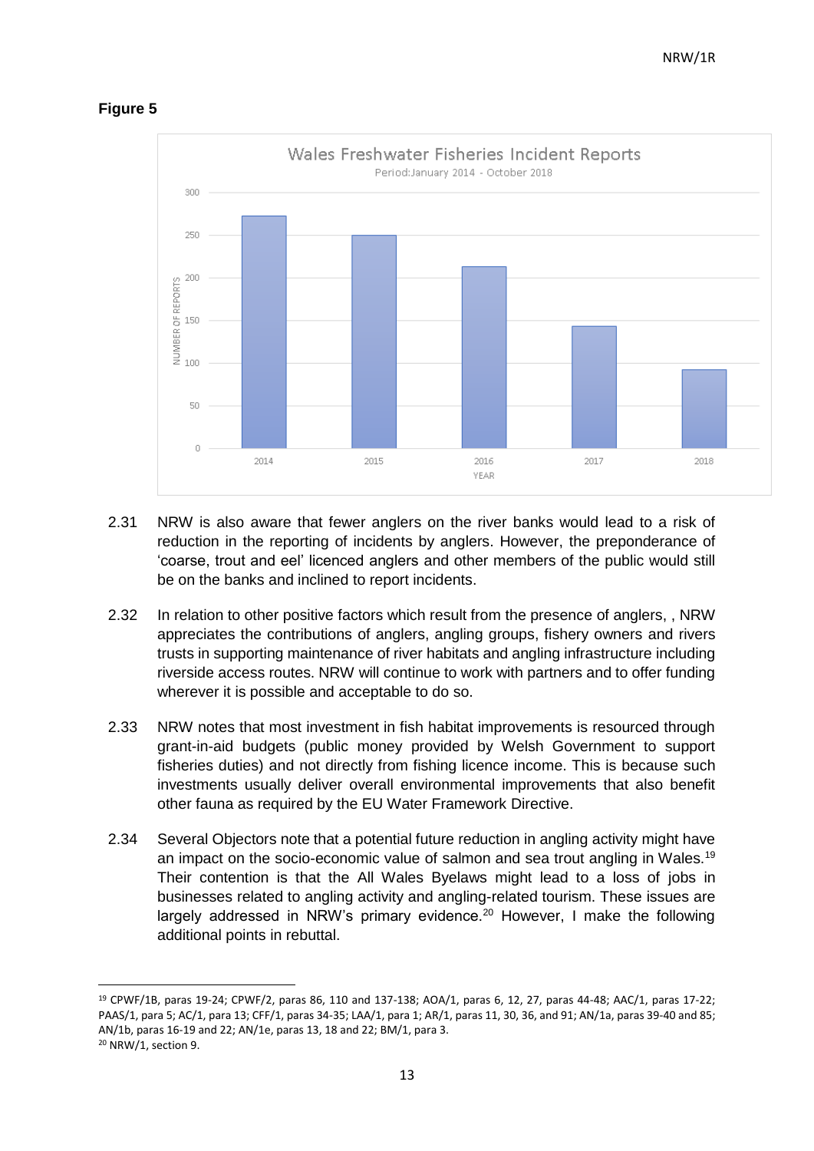# **Figure 5**



- 2.31 NRW is also aware that fewer anglers on the river banks would lead to a risk of reduction in the reporting of incidents by anglers. However, the preponderance of 'coarse, trout and eel' licenced anglers and other members of the public would still be on the banks and inclined to report incidents.
- 2.32 In relation to other positive factors which result from the presence of anglers, , NRW appreciates the contributions of anglers, angling groups, fishery owners and rivers trusts in supporting maintenance of river habitats and angling infrastructure including riverside access routes. NRW will continue to work with partners and to offer funding wherever it is possible and acceptable to do so.
- 2.33 NRW notes that most investment in fish habitat improvements is resourced through grant-in-aid budgets (public money provided by Welsh Government to support fisheries duties) and not directly from fishing licence income. This is because such investments usually deliver overall environmental improvements that also benefit other fauna as required by the EU Water Framework Directive.
- 2.34 Several Objectors note that a potential future reduction in angling activity might have an impact on the socio-economic value of salmon and sea trout angling in Wales.<sup>19</sup> Their contention is that the All Wales Byelaws might lead to a loss of jobs in businesses related to angling activity and angling-related tourism. These issues are largely addressed in NRW's primary evidence.<sup>20</sup> However, I make the following additional points in rebuttal.

1

<sup>19</sup> CPWF/1B, paras 19-24; CPWF/2, paras 86, 110 and 137-138; AOA/1, paras 6, 12, 27, paras 44-48; AAC/1, paras 17-22; PAAS/1, para 5; AC/1, para 13; CFF/1, paras 34-35; LAA/1, para 1; AR/1, paras 11, 30, 36, and 91; AN/1a, paras 39-40 and 85; AN/1b, paras 16-19 and 22; AN/1e, paras 13, 18 and 22; BM/1, para 3.

<sup>20</sup> NRW/1, section 9.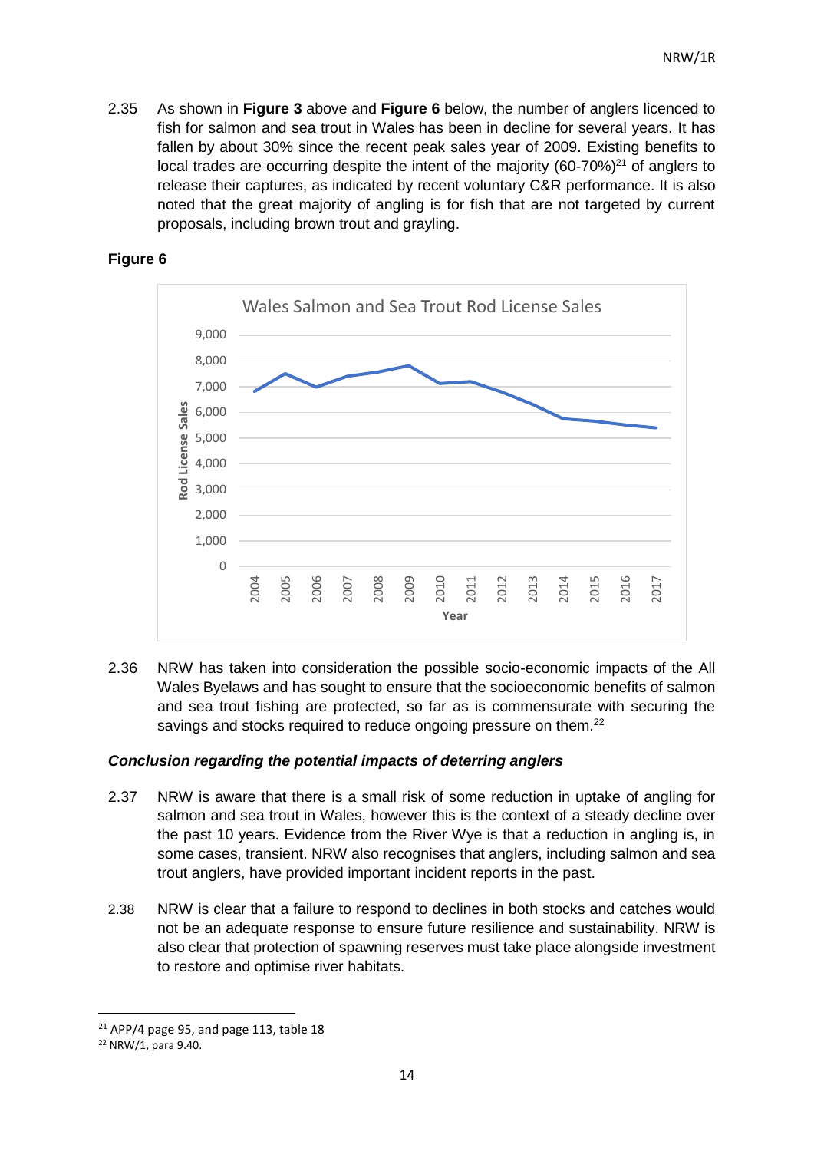2.35 As shown in **Figure 3** above and **Figure 6** below, the number of anglers licenced to fish for salmon and sea trout in Wales has been in decline for several years. It has fallen by about 30% since the recent peak sales year of 2009. Existing benefits to local trades are occurring despite the intent of the majority  $(60-70\%)^{21}$  of anglers to release their captures, as indicated by recent voluntary C&R performance. It is also noted that the great majority of angling is for fish that are not targeted by current proposals, including brown trout and grayling.



# **Figure 6**

2.36 NRW has taken into consideration the possible socio-economic impacts of the All Wales Byelaws and has sought to ensure that the socioeconomic benefits of salmon and sea trout fishing are protected, so far as is commensurate with securing the savings and stocks required to reduce ongoing pressure on them.<sup>22</sup>

## *Conclusion regarding the potential impacts of deterring anglers*

- 2.37 NRW is aware that there is a small risk of some reduction in uptake of angling for salmon and sea trout in Wales, however this is the context of a steady decline over the past 10 years. Evidence from the River Wye is that a reduction in angling is, in some cases, transient. NRW also recognises that anglers, including salmon and sea trout anglers, have provided important incident reports in the past.
- 2.38 NRW is clear that a failure to respond to declines in both stocks and catches would not be an adequate response to ensure future resilience and sustainability. NRW is also clear that protection of spawning reserves must take place alongside investment to restore and optimise river habitats.

 $21$  APP/4 page 95, and page 113, table 18

<sup>22</sup> NRW/1, para 9.40.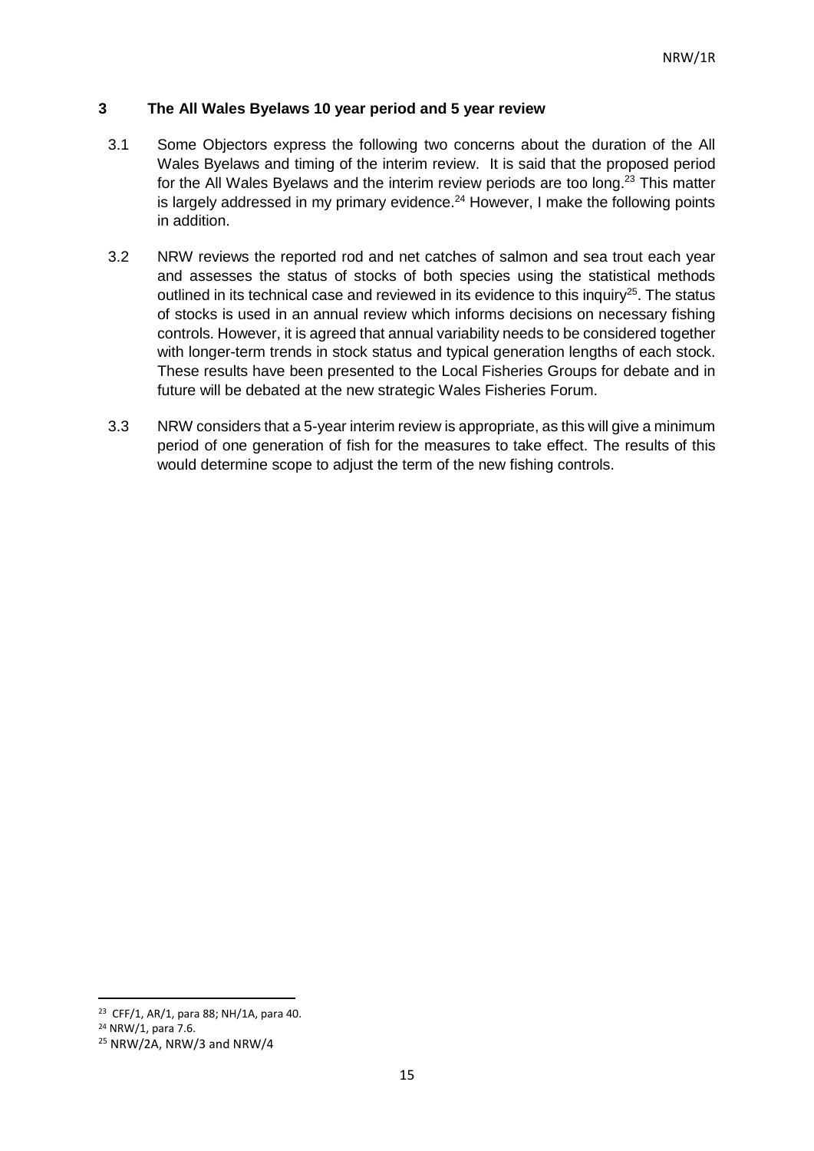#### **3 The All Wales Byelaws 10 year period and 5 year review**

- 3.1 Some Objectors express the following two concerns about the duration of the All Wales Byelaws and timing of the interim review. It is said that the proposed period for the All Wales Byelaws and the interim review periods are too long.<sup>23</sup> This matter is largely addressed in my primary evidence. $24$  However, I make the following points in addition.
- 3.2 NRW reviews the reported rod and net catches of salmon and sea trout each year and assesses the status of stocks of both species using the statistical methods outlined in its technical case and reviewed in its evidence to this inquiry<sup>25</sup>. The status of stocks is used in an annual review which informs decisions on necessary fishing controls. However, it is agreed that annual variability needs to be considered together with longer-term trends in stock status and typical generation lengths of each stock. These results have been presented to the Local Fisheries Groups for debate and in future will be debated at the new strategic Wales Fisheries Forum.
- 3.3 NRW considers that a 5-year interim review is appropriate, as this will give a minimum period of one generation of fish for the measures to take effect. The results of this would determine scope to adjust the term of the new fishing controls.

1

<sup>23</sup> CFF/1, AR/1, para 88; NH/1A, para 40.

<sup>24</sup> NRW/1, para 7.6.

<sup>25</sup> NRW/2A, NRW/3 and NRW/4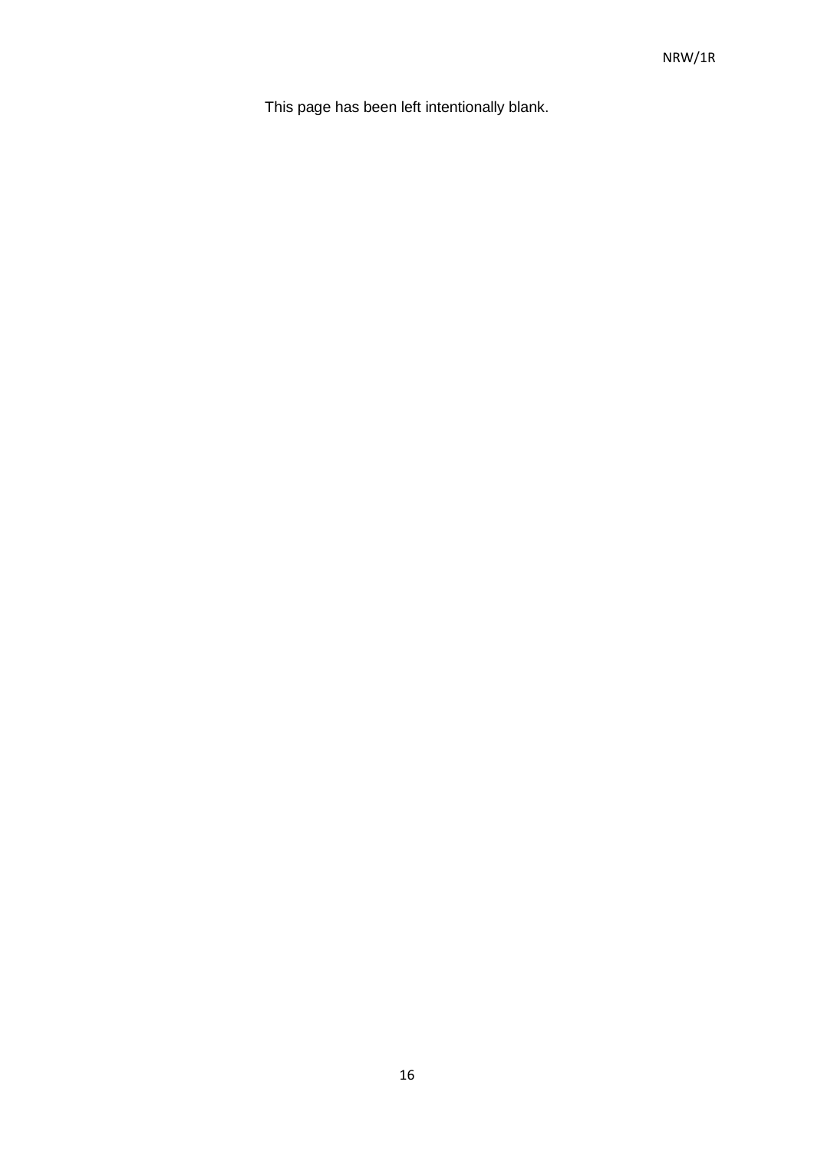This page has been left intentionally blank.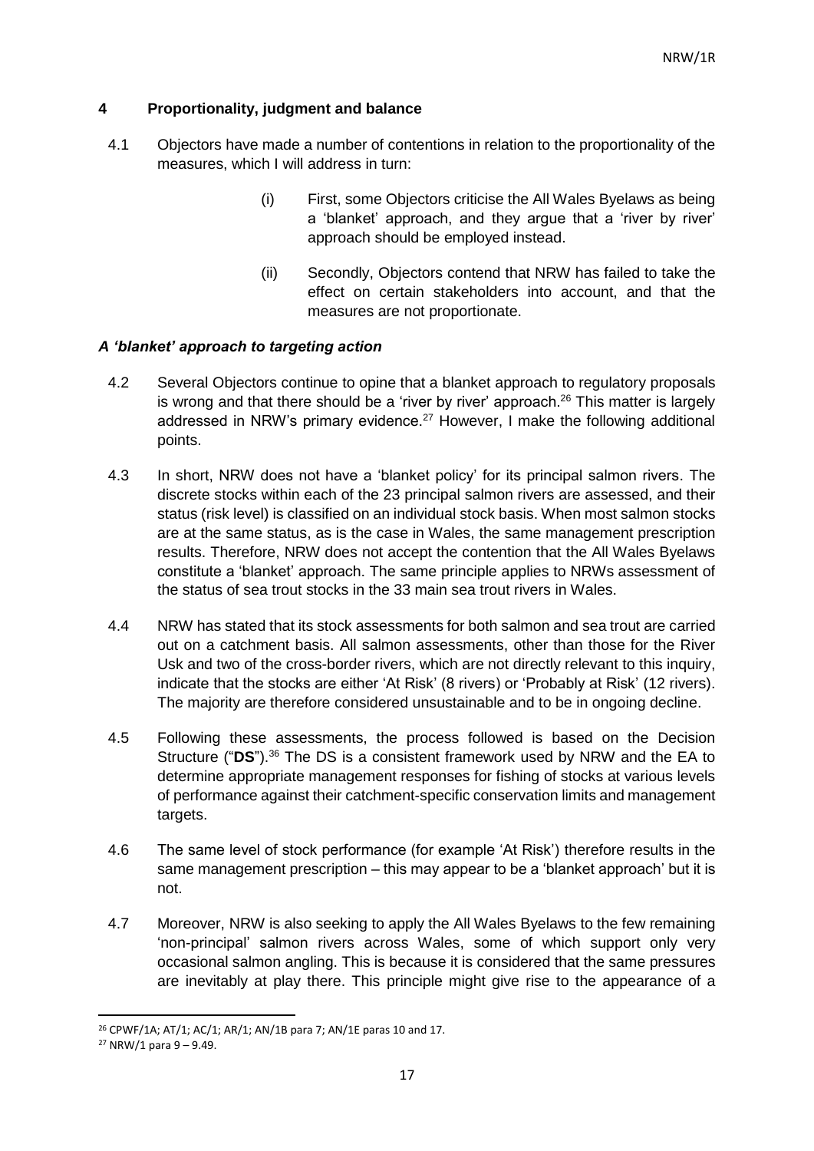# **4 Proportionality, judgment and balance**

- 4.1 Objectors have made a number of contentions in relation to the proportionality of the measures, which I will address in turn:
	- (i) First, some Objectors criticise the All Wales Byelaws as being a 'blanket' approach, and they argue that a 'river by river' approach should be employed instead.
	- (ii) Secondly, Objectors contend that NRW has failed to take the effect on certain stakeholders into account, and that the measures are not proportionate.

# *A 'blanket' approach to targeting action*

- 4.2 Several Objectors continue to opine that a blanket approach to regulatory proposals is wrong and that there should be a 'river by river' approach.<sup>26</sup> This matter is largely addressed in NRW's primary evidence.<sup>27</sup> However, I make the following additional points.
- 4.3 In short, NRW does not have a 'blanket policy' for its principal salmon rivers. The discrete stocks within each of the 23 principal salmon rivers are assessed, and their status (risk level) is classified on an individual stock basis. When most salmon stocks are at the same status, as is the case in Wales, the same management prescription results. Therefore, NRW does not accept the contention that the All Wales Byelaws constitute a 'blanket' approach. The same principle applies to NRWs assessment of the status of sea trout stocks in the 33 main sea trout rivers in Wales.
- 4.4 NRW has stated that its stock assessments for both salmon and sea trout are carried out on a catchment basis. All salmon assessments, other than those for the River Usk and two of the cross-border rivers, which are not directly relevant to this inquiry, indicate that the stocks are either 'At Risk' (8 rivers) or 'Probably at Risk' (12 rivers). The majority are therefore considered unsustainable and to be in ongoing decline.
- 4.5 Following these assessments, the process followed is based on the Decision Structure ("**DS**"). <sup>36</sup> The DS is a consistent framework used by NRW and the EA to determine appropriate management responses for fishing of stocks at various levels of performance against their catchment-specific conservation limits and management targets.
- 4.6 The same level of stock performance (for example 'At Risk') therefore results in the same management prescription – this may appear to be a 'blanket approach' but it is not.
- 4.7 Moreover, NRW is also seeking to apply the All Wales Byelaws to the few remaining 'non-principal' salmon rivers across Wales, some of which support only very occasional salmon angling. This is because it is considered that the same pressures are inevitably at play there. This principle might give rise to the appearance of a

**<sup>.</sup>** <sup>26</sup> CPWF/1A; AT/1; AC/1; AR/1; AN/1B para 7; AN/1E paras 10 and 17.

 $27$  NRW/1 para 9 – 9.49.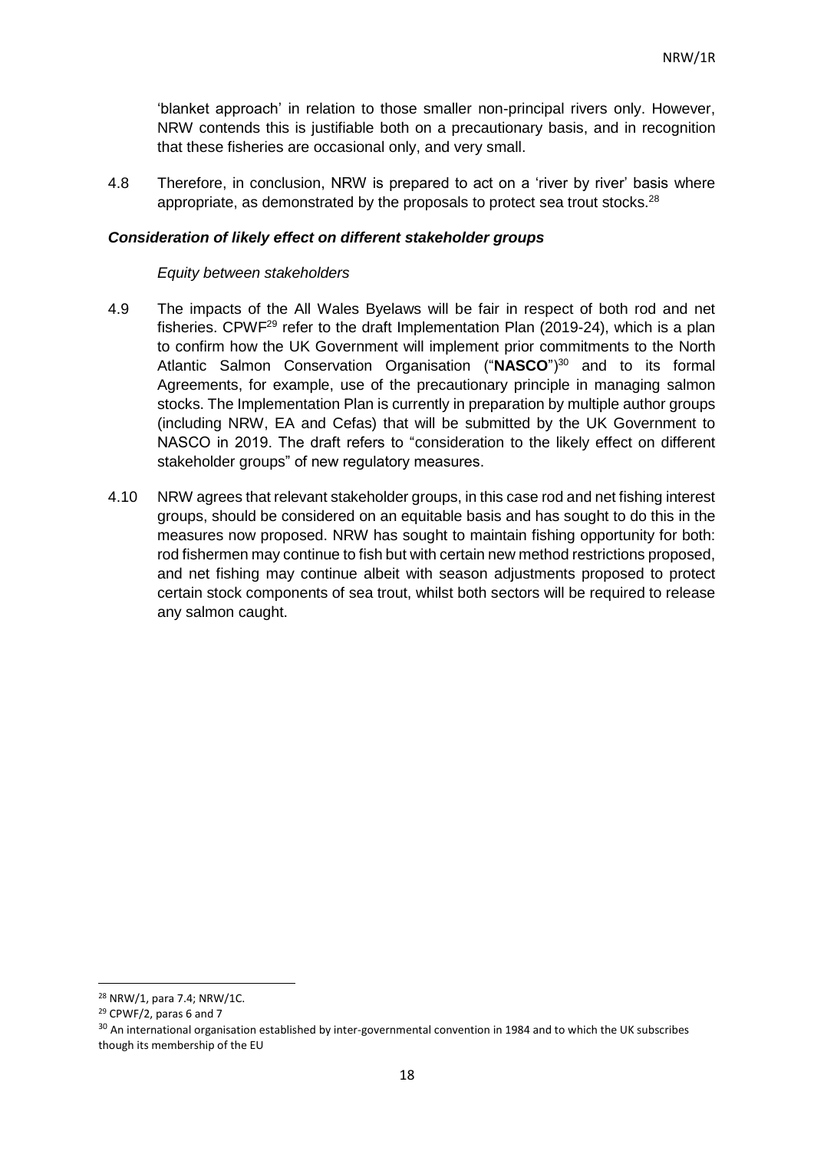'blanket approach' in relation to those smaller non-principal rivers only. However, NRW contends this is justifiable both on a precautionary basis, and in recognition that these fisheries are occasional only, and very small.

4.8 Therefore, in conclusion, NRW is prepared to act on a 'river by river' basis where appropriate, as demonstrated by the proposals to protect sea trout stocks.<sup>28</sup>

#### *Consideration of likely effect on different stakeholder groups*

#### *Equity between stakeholders*

- 4.9 The impacts of the All Wales Byelaws will be fair in respect of both rod and net fisheries. CPWF<sup>29</sup> refer to the draft Implementation Plan  $(2019-24)$ , which is a plan to confirm how the UK Government will implement prior commitments to the North Atlantic Salmon Conservation Organisation ("NASCO")<sup>30</sup> and to its formal Agreements, for example, use of the precautionary principle in managing salmon stocks. The Implementation Plan is currently in preparation by multiple author groups (including NRW, EA and Cefas) that will be submitted by the UK Government to NASCO in 2019. The draft refers to "consideration to the likely effect on different stakeholder groups" of new regulatory measures.
- 4.10 NRW agrees that relevant stakeholder groups, in this case rod and net fishing interest groups, should be considered on an equitable basis and has sought to do this in the measures now proposed. NRW has sought to maintain fishing opportunity for both: rod fishermen may continue to fish but with certain new method restrictions proposed, and net fishing may continue albeit with season adjustments proposed to protect certain stock components of sea trout, whilst both sectors will be required to release any salmon caught.

<sup>28</sup> NRW/1, para 7.4; NRW/1C.

<sup>29</sup> CPWF/2, paras 6 and 7

<sup>&</sup>lt;sup>30</sup> An international organisation established by inter-governmental convention in 1984 and to which the UK subscribes though its membership of the EU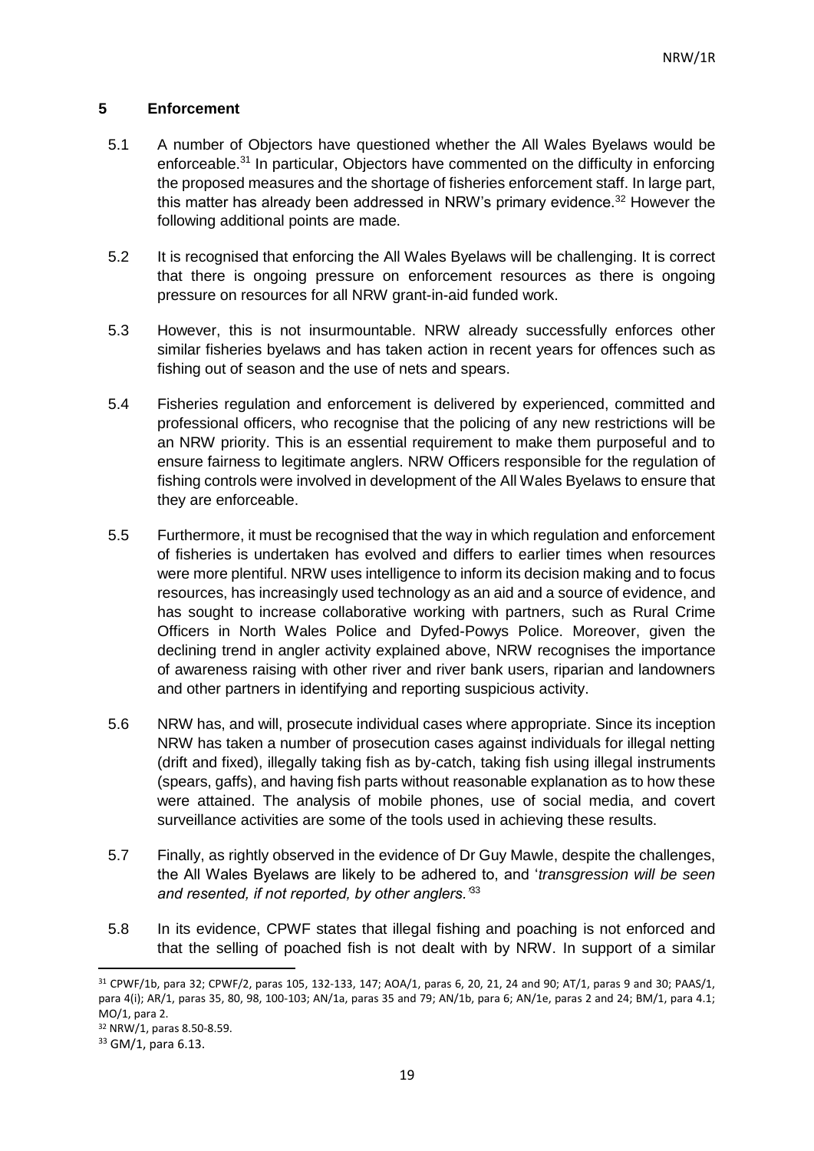## **5 Enforcement**

- 5.1 A number of Objectors have questioned whether the All Wales Byelaws would be enforceable.<sup>31</sup> In particular, Objectors have commented on the difficulty in enforcing the proposed measures and the shortage of fisheries enforcement staff. In large part, this matter has already been addressed in NRW's primary evidence.<sup>32</sup> However the following additional points are made.
- 5.2 It is recognised that enforcing the All Wales Byelaws will be challenging. It is correct that there is ongoing pressure on enforcement resources as there is ongoing pressure on resources for all NRW grant-in-aid funded work.
- 5.3 However, this is not insurmountable. NRW already successfully enforces other similar fisheries byelaws and has taken action in recent years for offences such as fishing out of season and the use of nets and spears.
- 5.4 Fisheries regulation and enforcement is delivered by experienced, committed and professional officers, who recognise that the policing of any new restrictions will be an NRW priority. This is an essential requirement to make them purposeful and to ensure fairness to legitimate anglers. NRW Officers responsible for the regulation of fishing controls were involved in development of the All Wales Byelaws to ensure that they are enforceable.
- 5.5 Furthermore, it must be recognised that the way in which regulation and enforcement of fisheries is undertaken has evolved and differs to earlier times when resources were more plentiful. NRW uses intelligence to inform its decision making and to focus resources, has increasingly used technology as an aid and a source of evidence, and has sought to increase collaborative working with partners, such as Rural Crime Officers in North Wales Police and Dyfed-Powys Police. Moreover, given the declining trend in angler activity explained above, NRW recognises the importance of awareness raising with other river and river bank users, riparian and landowners and other partners in identifying and reporting suspicious activity.
- 5.6 NRW has, and will, prosecute individual cases where appropriate. Since its inception NRW has taken a number of prosecution cases against individuals for illegal netting (drift and fixed), illegally taking fish as by-catch, taking fish using illegal instruments (spears, gaffs), and having fish parts without reasonable explanation as to how these were attained. The analysis of mobile phones, use of social media, and covert surveillance activities are some of the tools used in achieving these results.
- 5.7 Finally, as rightly observed in the evidence of Dr Guy Mawle, despite the challenges, the All Wales Byelaws are likely to be adhered to, and '*transgression will be seen and resented, if not reported, by other anglers.'*<sup>33</sup>
- 5.8 In its evidence, CPWF states that illegal fishing and poaching is not enforced and that the selling of poached fish is not dealt with by NRW. In support of a similar

 $\overline{\phantom{a}}$ 

<sup>31</sup> CPWF/1b, para 32; CPWF/2, paras 105, 132-133, 147; AOA/1, paras 6, 20, 21, 24 and 90; AT/1, paras 9 and 30; PAAS/1, para 4(i); AR/1, paras 35, 80, 98, 100-103; AN/1a, paras 35 and 79; AN/1b, para 6; AN/1e, paras 2 and 24; BM/1, para 4.1; MO/1, para 2.

<sup>32</sup> NRW/1, paras 8.50-8.59.

<sup>33</sup> GM/1, para 6.13.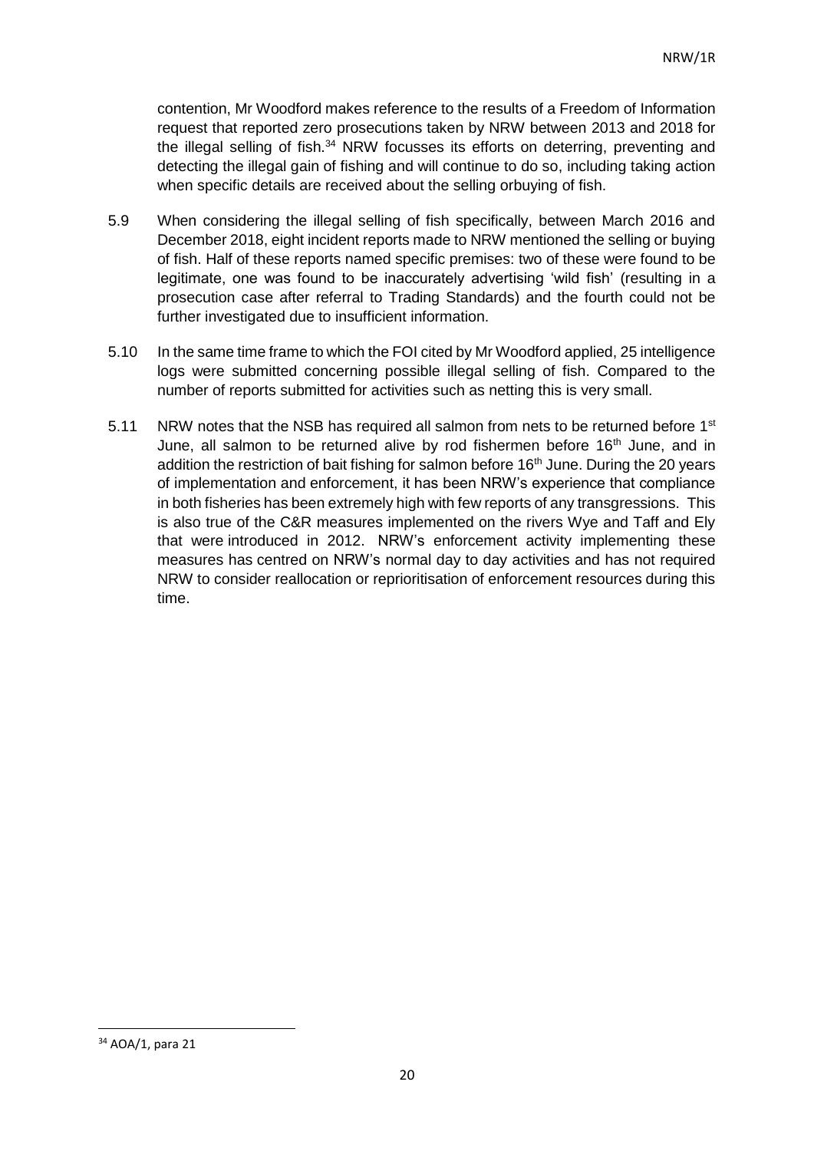contention, Mr Woodford makes reference to the results of a Freedom of Information request that reported zero prosecutions taken by NRW between 2013 and 2018 for the illegal selling of fish.<sup>34</sup> NRW focusses its efforts on deterring, preventing and detecting the illegal gain of fishing and will continue to do so, including taking action when specific details are received about the selling orbuying of fish.

- 5.9 When considering the illegal selling of fish specifically, between March 2016 and December 2018, eight incident reports made to NRW mentioned the selling or buying of fish. Half of these reports named specific premises: two of these were found to be legitimate, one was found to be inaccurately advertising 'wild fish' (resulting in a prosecution case after referral to Trading Standards) and the fourth could not be further investigated due to insufficient information.
- 5.10 In the same time frame to which the FOI cited by Mr Woodford applied, 25 intelligence logs were submitted concerning possible illegal selling of fish. Compared to the number of reports submitted for activities such as netting this is very small.
- 5.11 NRW notes that the NSB has required all salmon from nets to be returned before 1<sup>st</sup> June, all salmon to be returned alive by rod fishermen before 16<sup>th</sup> June, and in addition the restriction of bait fishing for salmon before 16<sup>th</sup> June. During the 20 years of implementation and enforcement, it has been NRW's experience that compliance in both fisheries has been extremely high with few reports of any transgressions. This is also true of the C&R measures implemented on the rivers Wye and Taff and Ely that were introduced in 2012. NRW's enforcement activity implementing these measures has centred on NRW's normal day to day activities and has not required NRW to consider reallocation or reprioritisation of enforcement resources during this time.

<sup>34</sup> AOA/1, para 21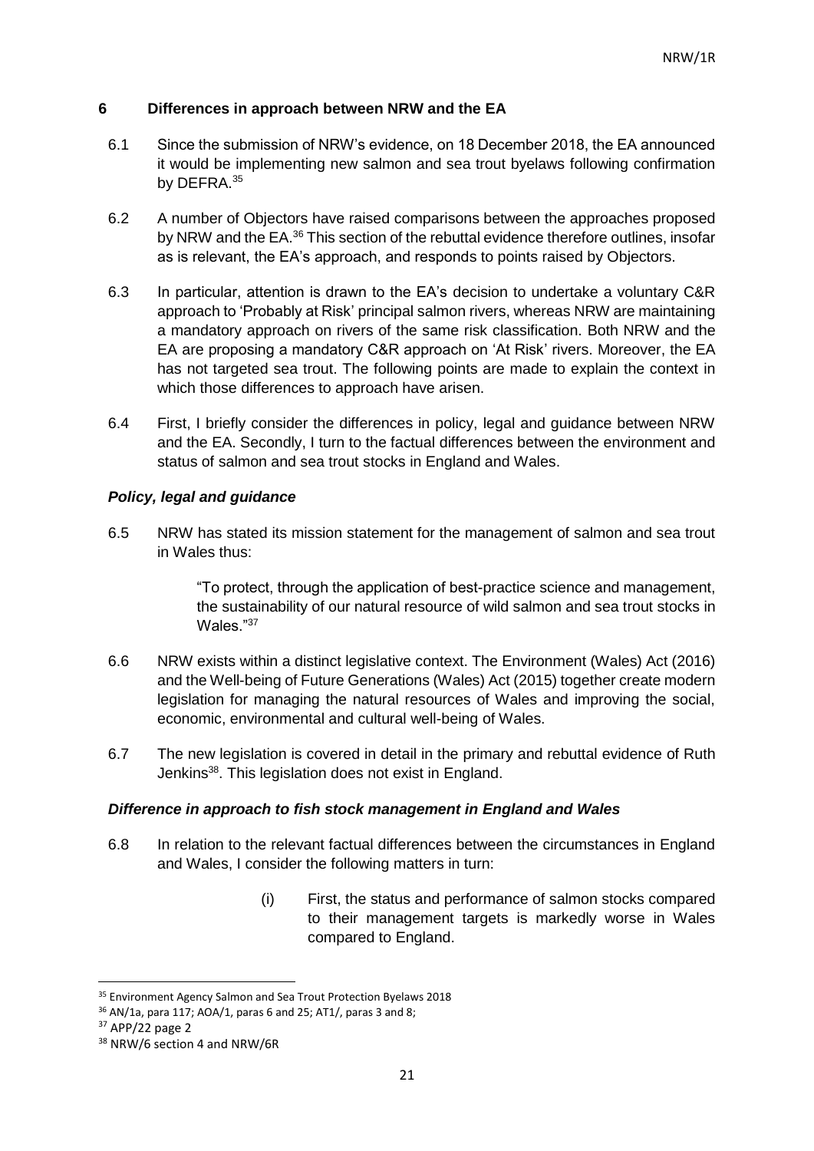# **6 Differences in approach between NRW and the EA**

- 6.1 Since the submission of NRW's evidence, on 18 December 2018, the EA announced it would be implementing new salmon and sea trout byelaws following confirmation by DEFRA.<sup>35</sup>
- 6.2 A number of Objectors have raised comparisons between the approaches proposed by NRW and the EA.<sup>36</sup> This section of the rebuttal evidence therefore outlines, insofar as is relevant, the EA's approach, and responds to points raised by Objectors.
- 6.3 In particular, attention is drawn to the EA's decision to undertake a voluntary C&R approach to 'Probably at Risk' principal salmon rivers, whereas NRW are maintaining a mandatory approach on rivers of the same risk classification. Both NRW and the EA are proposing a mandatory C&R approach on 'At Risk' rivers. Moreover, the EA has not targeted sea trout. The following points are made to explain the context in which those differences to approach have arisen.
- 6.4 First, I briefly consider the differences in policy, legal and guidance between NRW and the EA. Secondly, I turn to the factual differences between the environment and status of salmon and sea trout stocks in England and Wales.

# *Policy, legal and guidance*

6.5 NRW has stated its mission statement for the management of salmon and sea trout in Wales thus:

> "To protect, through the application of best-practice science and management, the sustainability of our natural resource of wild salmon and sea trout stocks in Wales."<sup>37</sup>

- 6.6 NRW exists within a distinct legislative context. The Environment (Wales) Act (2016) and the Well-being of Future Generations (Wales) Act (2015) together create modern legislation for managing the natural resources of Wales and improving the social, economic, environmental and cultural well-being of Wales.
- 6.7 The new legislation is covered in detail in the primary and rebuttal evidence of Ruth Jenkins<sup>38</sup>. This legislation does not exist in England.

# *Difference in approach to fish stock management in England and Wales*

- 6.8 In relation to the relevant factual differences between the circumstances in England and Wales, I consider the following matters in turn:
	- (i) First, the status and performance of salmon stocks compared to their management targets is markedly worse in Wales compared to England.

<sup>37</sup> APP/22 page 2

 $\overline{\phantom{a}}$ 

<sup>35</sup> Environment Agency Salmon and Sea Trout Protection Byelaws 2018

<sup>36</sup> AN/1a, para 117; AOA/1, paras 6 and 25; AT1/, paras 3 and 8;

<sup>38</sup> NRW/6 section 4 and NRW/6R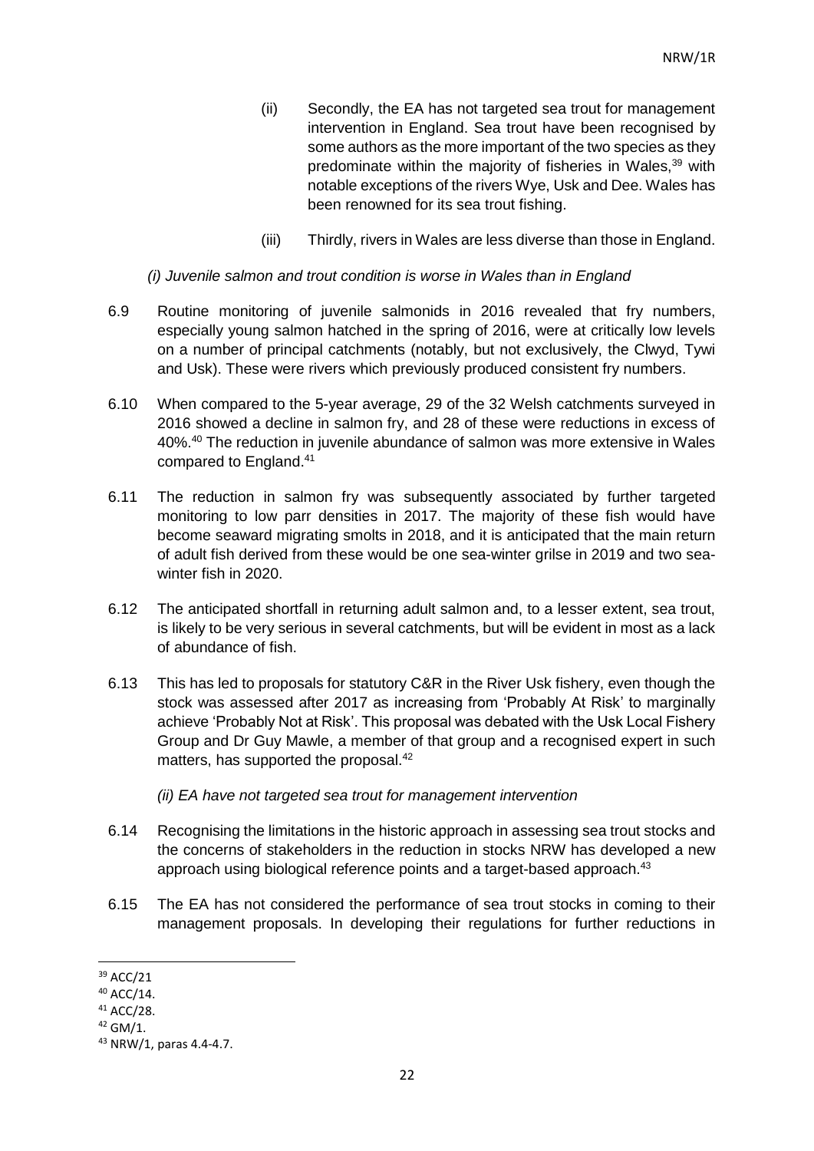- (ii) Secondly, the EA has not targeted sea trout for management intervention in England. Sea trout have been recognised by some authors as the more important of the two species as they predominate within the majority of fisheries in Wales,<sup>39</sup> with notable exceptions of the rivers Wye, Usk and Dee. Wales has been renowned for its sea trout fishing.
- (iii) Thirdly, rivers in Wales are less diverse than those in England.

#### *(i) Juvenile salmon and trout condition is worse in Wales than in England*

- 6.9 Routine monitoring of juvenile salmonids in 2016 revealed that fry numbers, especially young salmon hatched in the spring of 2016, were at critically low levels on a number of principal catchments (notably, but not exclusively, the Clwyd, Tywi and Usk). These were rivers which previously produced consistent fry numbers.
- 6.10 When compared to the 5-year average, 29 of the 32 Welsh catchments surveyed in 2016 showed a decline in salmon fry, and 28 of these were reductions in excess of 40%.<sup>40</sup> The reduction in juvenile abundance of salmon was more extensive in Wales compared to England. 41
- 6.11 The reduction in salmon fry was subsequently associated by further targeted monitoring to low parr densities in 2017. The majority of these fish would have become seaward migrating smolts in 2018, and it is anticipated that the main return of adult fish derived from these would be one sea-winter grilse in 2019 and two seawinter fish in 2020.
- 6.12 The anticipated shortfall in returning adult salmon and, to a lesser extent, sea trout, is likely to be very serious in several catchments, but will be evident in most as a lack of abundance of fish.
- 6.13 This has led to proposals for statutory C&R in the River Usk fishery, even though the stock was assessed after 2017 as increasing from 'Probably At Risk' to marginally achieve 'Probably Not at Risk'. This proposal was debated with the Usk Local Fishery Group and Dr Guy Mawle, a member of that group and a recognised expert in such matters, has supported the proposal.<sup>42</sup>
	- *(ii) EA have not targeted sea trout for management intervention*
- 6.14 Recognising the limitations in the historic approach in assessing sea trout stocks and the concerns of stakeholders in the reduction in stocks NRW has developed a new approach using biological reference points and a target-based approach.<sup>43</sup>
- 6.15 The EA has not considered the performance of sea trout stocks in coming to their management proposals. In developing their regulations for further reductions in

 $\overline{\phantom{a}}$ 

<sup>39</sup> ACC/21

<sup>40</sup> ACC/14.

<sup>41</sup> ACC/28.

<sup>42</sup> GM/1.

<sup>43</sup> NRW/1, paras 4.4-4.7.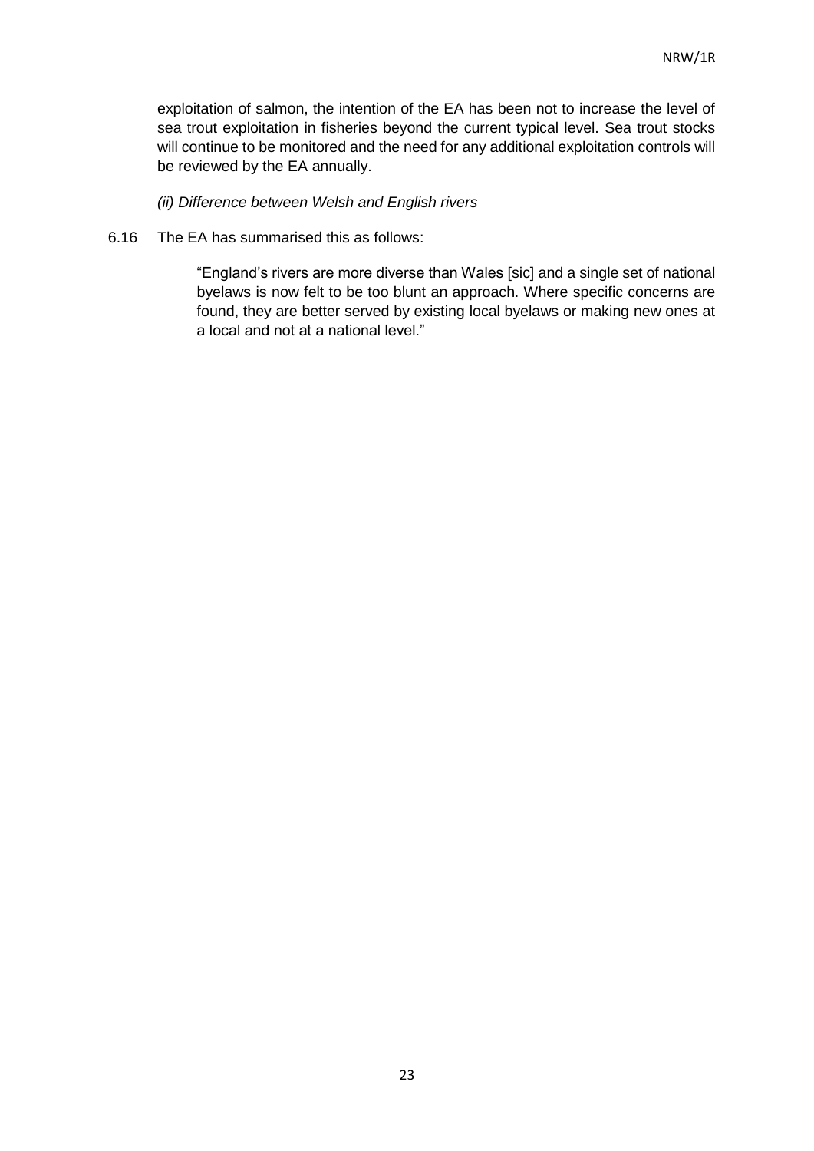exploitation of salmon, the intention of the EA has been not to increase the level of sea trout exploitation in fisheries beyond the current typical level. Sea trout stocks will continue to be monitored and the need for any additional exploitation controls will be reviewed by the EA annually.

- *(ii) Difference between Welsh and English rivers*
- 6.16 The EA has summarised this as follows:

"England's rivers are more diverse than Wales [sic] and a single set of national byelaws is now felt to be too blunt an approach. Where specific concerns are found, they are better served by existing local byelaws or making new ones at a local and not at a national level."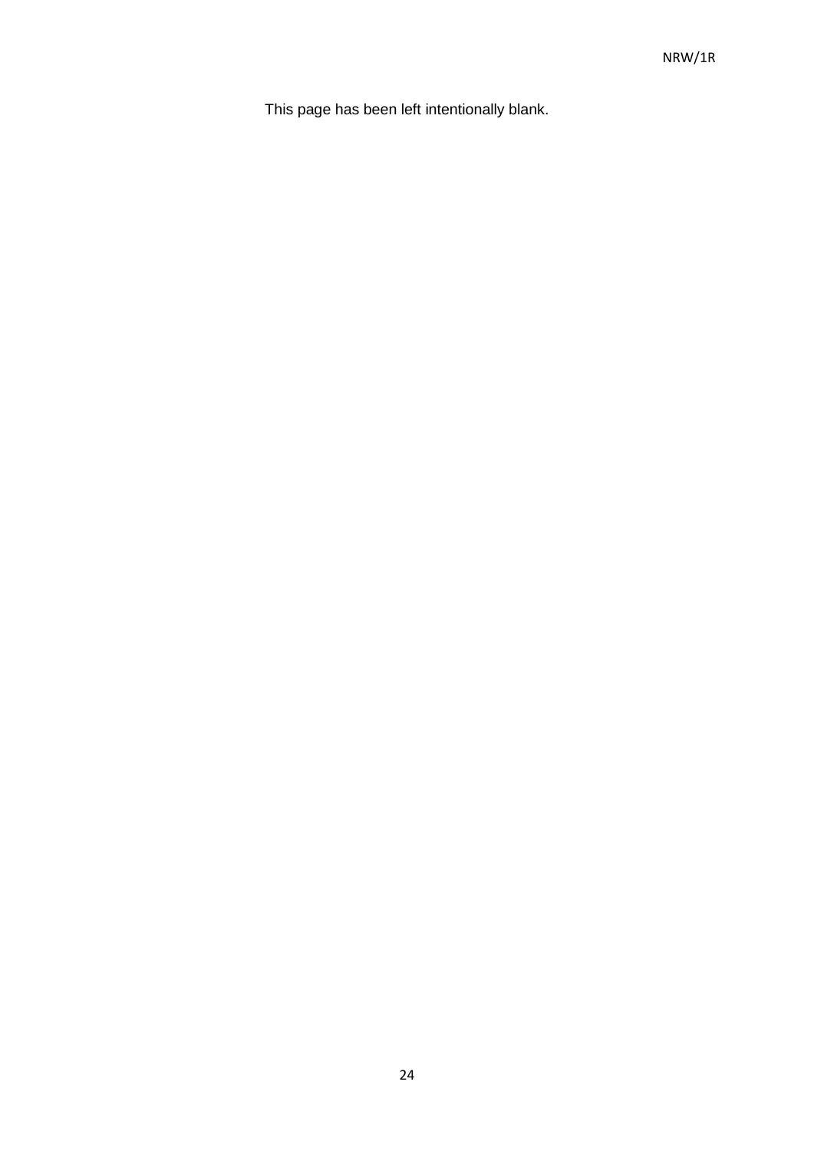This page has been left intentionally blank.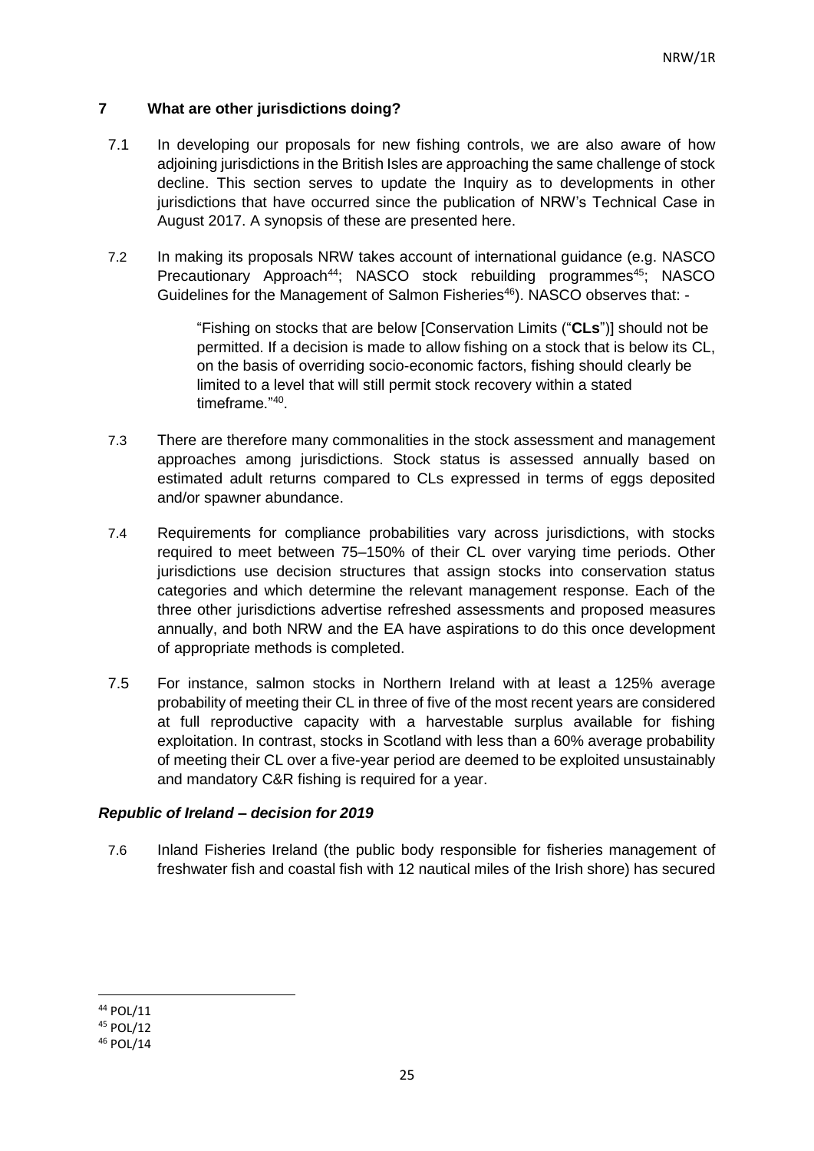# **7 What are other jurisdictions doing?**

- 7.1 In developing our proposals for new fishing controls, we are also aware of how adjoining jurisdictions in the British Isles are approaching the same challenge of stock decline. This section serves to update the Inquiry as to developments in other jurisdictions that have occurred since the publication of NRW's Technical Case in August 2017. A synopsis of these are presented here.
- 7.2 In making its proposals NRW takes account of international guidance (e.g. NASCO Precautionary Approach<sup>44</sup>; NASCO stock rebuilding programmes<sup>45</sup>; NASCO Guidelines for the Management of Salmon Fisheries<sup>46</sup>). NASCO observes that: -

"Fishing on stocks that are below [Conservation Limits ("**CLs**")] should not be permitted. If a decision is made to allow fishing on a stock that is below its CL, on the basis of overriding socio-economic factors, fishing should clearly be limited to a level that will still permit stock recovery within a stated timeframe."<sup>40</sup> .

- 7.3 There are therefore many commonalities in the stock assessment and management approaches among jurisdictions. Stock status is assessed annually based on estimated adult returns compared to CLs expressed in terms of eggs deposited and/or spawner abundance.
- 7.4 Requirements for compliance probabilities vary across jurisdictions, with stocks required to meet between 75–150% of their CL over varying time periods. Other jurisdictions use decision structures that assign stocks into conservation status categories and which determine the relevant management response. Each of the three other jurisdictions advertise refreshed assessments and proposed measures annually, and both NRW and the EA have aspirations to do this once development of appropriate methods is completed.
- 7.5 For instance, salmon stocks in Northern Ireland with at least a 125% average probability of meeting their CL in three of five of the most recent years are considered at full reproductive capacity with a harvestable surplus available for fishing exploitation. In contrast, stocks in Scotland with less than a 60% average probability of meeting their CL over a five-year period are deemed to be exploited unsustainably and mandatory C&R fishing is required for a year.

## *Republic of Ireland – decision for 2019*

7.6 Inland Fisheries Ireland (the public body responsible for fisheries management of freshwater fish and coastal fish with 12 nautical miles of the Irish shore) has secured

**<sup>.</sup>** <sup>44</sup> POL/11

<sup>45</sup> POL/12

<sup>46</sup> POL/14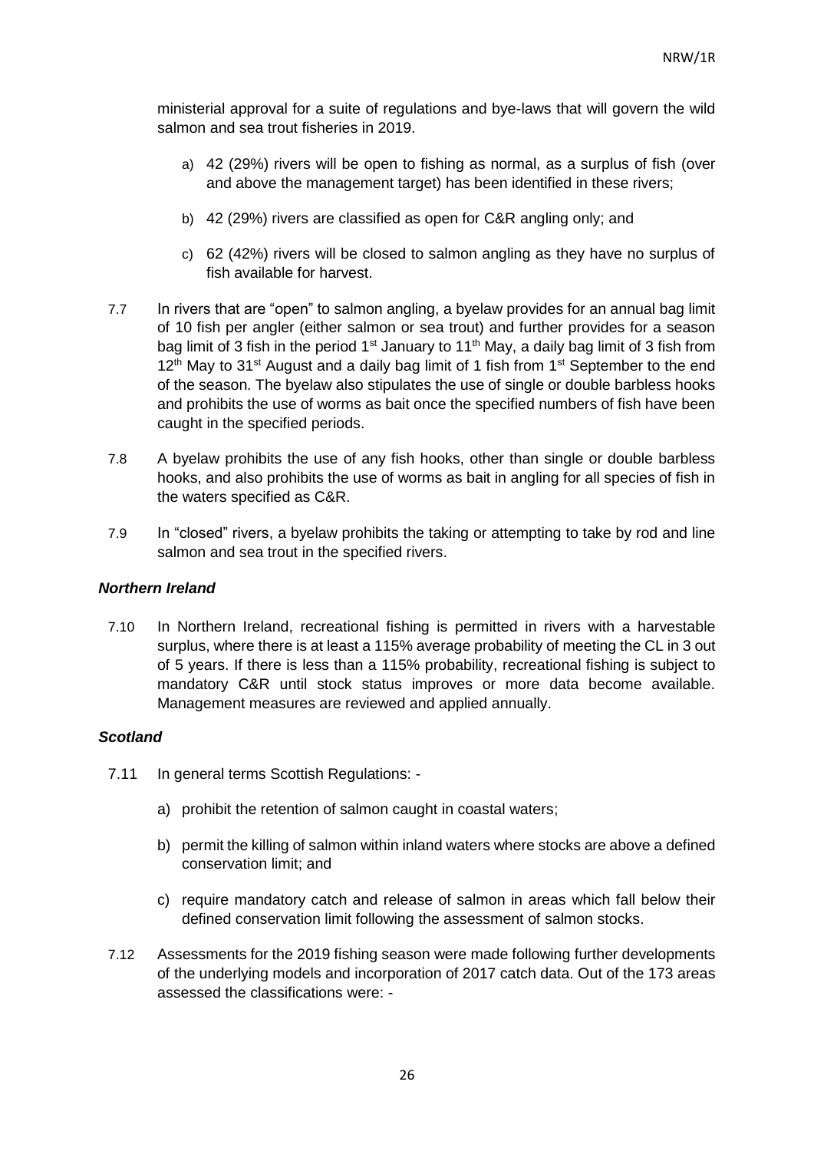ministerial approval for a suite of regulations and bye-laws that will govern the wild salmon and sea trout fisheries in 2019.

- a) 42 (29%) rivers will be open to fishing as normal, as a surplus of fish (over and above the management target) has been identified in these rivers;
- b) 42 (29%) rivers are classified as open for C&R angling only; and
- c) 62 (42%) rivers will be closed to salmon angling as they have no surplus of fish available for harvest.
- 7.7 In rivers that are "open" to salmon angling, a byelaw provides for an annual bag limit of 10 fish per angler (either salmon or sea trout) and further provides for a season bag limit of 3 fish in the period 1<sup>st</sup> January to 11<sup>th</sup> May, a daily bag limit of 3 fish from  $12<sup>th</sup>$  May to 31<sup>st</sup> August and a daily bag limit of 1 fish from 1<sup>st</sup> September to the end of the season. The byelaw also stipulates the use of single or double barbless hooks and prohibits the use of worms as bait once the specified numbers of fish have been caught in the specified periods.
- 7.8 A byelaw prohibits the use of any fish hooks, other than single or double barbless hooks, and also prohibits the use of worms as bait in angling for all species of fish in the waters specified as C&R.
- 7.9 In "closed" rivers, a byelaw prohibits the taking or attempting to take by rod and line salmon and sea trout in the specified rivers.

## *Northern Ireland*

7.10 In Northern Ireland, recreational fishing is permitted in rivers with a harvestable surplus, where there is at least a 115% average probability of meeting the CL in 3 out of 5 years. If there is less than a 115% probability, recreational fishing is subject to mandatory C&R until stock status improves or more data become available. Management measures are reviewed and applied annually.

## *Scotland*

- 7.11 In general terms Scottish Regulations:
	- a) prohibit the retention of salmon caught in coastal waters;
	- b) permit the killing of salmon within inland waters where stocks are above a defined conservation limit; and
	- c) require mandatory catch and release of salmon in areas which fall below their defined conservation limit following the assessment of salmon stocks.
- 7.12 Assessments for the 2019 fishing season were made following further developments of the underlying models and incorporation of 2017 catch data. Out of the 173 areas assessed the classifications were: -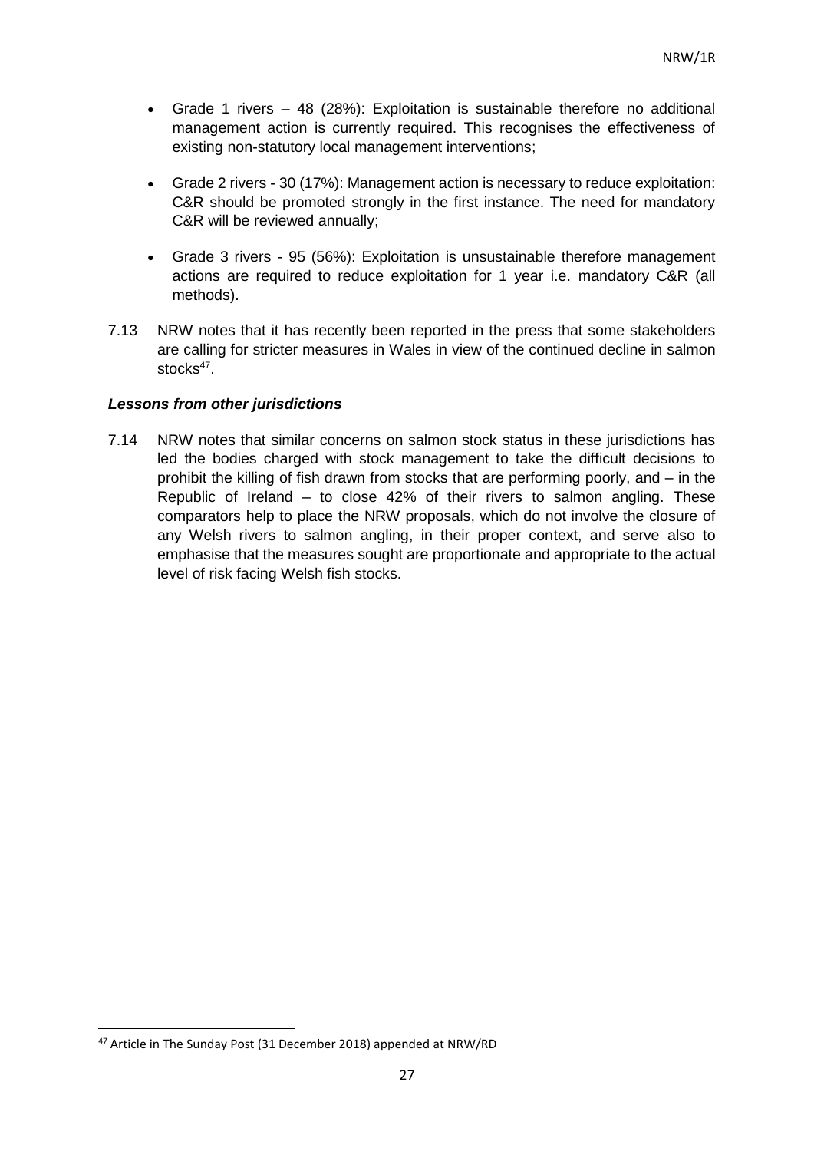- Grade 1 rivers 48 (28%): Exploitation is sustainable therefore no additional management action is currently required. This recognises the effectiveness of existing non-statutory local management interventions;
- Grade 2 rivers 30 (17%): Management action is necessary to reduce exploitation: C&R should be promoted strongly in the first instance. The need for mandatory C&R will be reviewed annually;
- Grade 3 rivers 95 (56%): Exploitation is unsustainable therefore management actions are required to reduce exploitation for 1 year i.e. mandatory C&R (all methods).
- 7.13 NRW notes that it has recently been reported in the press that some stakeholders are calling for stricter measures in Wales in view of the continued decline in salmon stocks<sup>47</sup>.

# *Lessons from other jurisdictions*

7.14 NRW notes that similar concerns on salmon stock status in these jurisdictions has led the bodies charged with stock management to take the difficult decisions to prohibit the killing of fish drawn from stocks that are performing poorly, and – in the Republic of Ireland – to close 42% of their rivers to salmon angling. These comparators help to place the NRW proposals, which do not involve the closure of any Welsh rivers to salmon angling, in their proper context, and serve also to emphasise that the measures sought are proportionate and appropriate to the actual level of risk facing Welsh fish stocks.

<sup>47</sup> Article in The Sunday Post (31 December 2018) appended at NRW/RD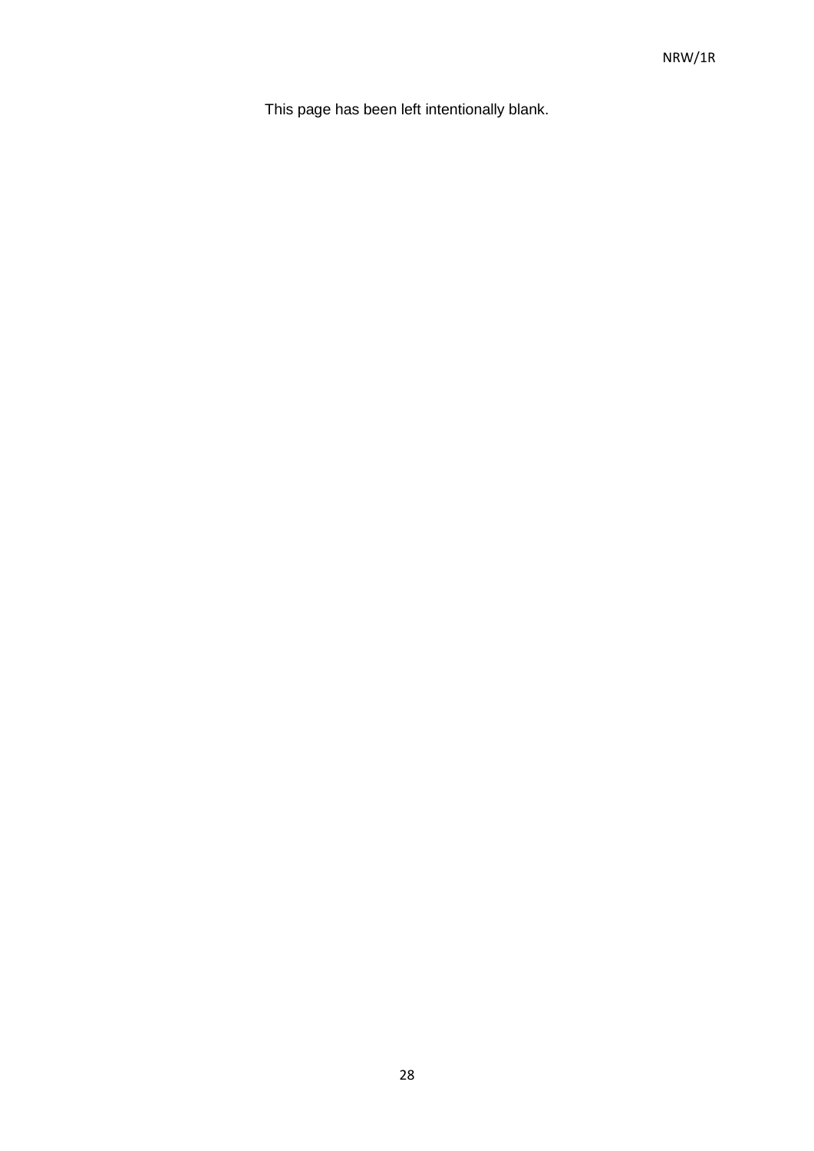This page has been left intentionally blank.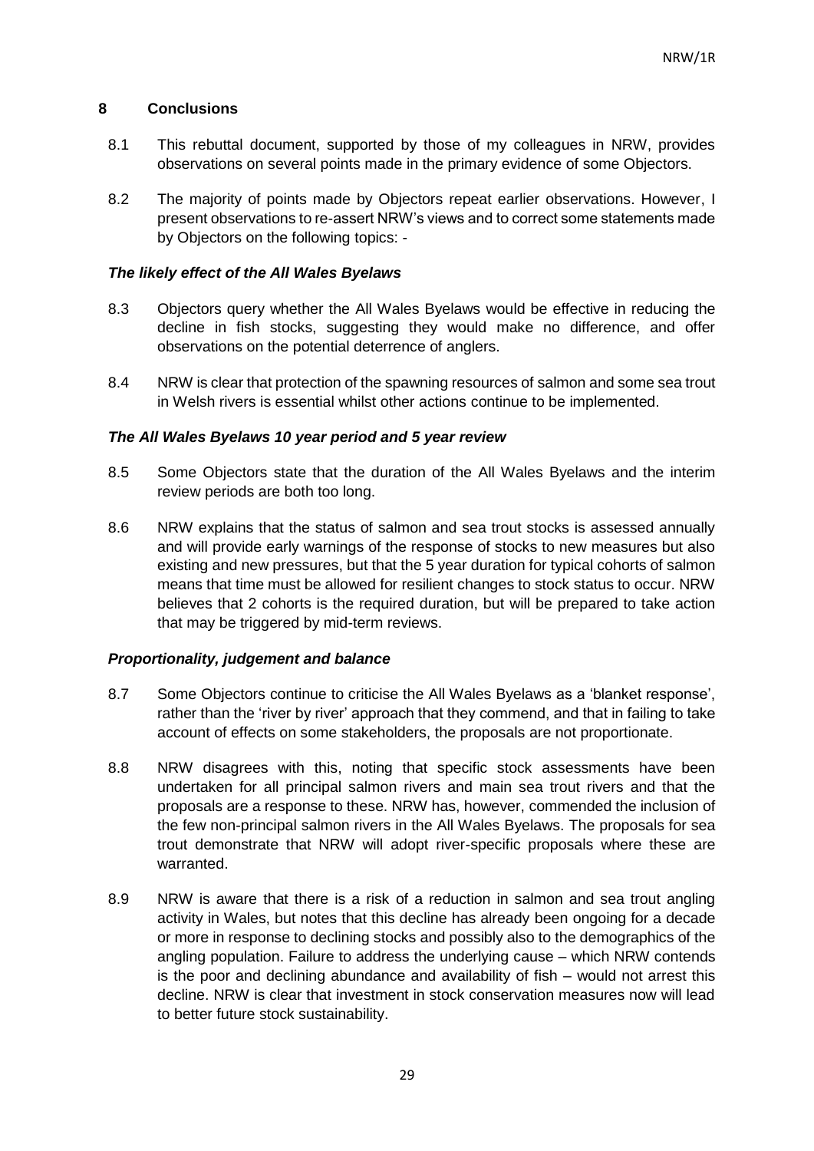## **8 Conclusions**

- 8.1 This rebuttal document, supported by those of my colleagues in NRW, provides observations on several points made in the primary evidence of some Objectors.
- 8.2 The majority of points made by Objectors repeat earlier observations. However, I present observations to re-assert NRW's views and to correct some statements made by Objectors on the following topics: -

## *The likely effect of the All Wales Byelaws*

- 8.3 Objectors query whether the All Wales Byelaws would be effective in reducing the decline in fish stocks, suggesting they would make no difference, and offer observations on the potential deterrence of anglers.
- 8.4 NRW is clear that protection of the spawning resources of salmon and some sea trout in Welsh rivers is essential whilst other actions continue to be implemented.

# *The All Wales Byelaws 10 year period and 5 year review*

- 8.5 Some Objectors state that the duration of the All Wales Byelaws and the interim review periods are both too long.
- 8.6 NRW explains that the status of salmon and sea trout stocks is assessed annually and will provide early warnings of the response of stocks to new measures but also existing and new pressures, but that the 5 year duration for typical cohorts of salmon means that time must be allowed for resilient changes to stock status to occur. NRW believes that 2 cohorts is the required duration, but will be prepared to take action that may be triggered by mid-term reviews.

## *Proportionality, judgement and balance*

- 8.7 Some Objectors continue to criticise the All Wales Byelaws as a 'blanket response', rather than the 'river by river' approach that they commend, and that in failing to take account of effects on some stakeholders, the proposals are not proportionate.
- 8.8 NRW disagrees with this, noting that specific stock assessments have been undertaken for all principal salmon rivers and main sea trout rivers and that the proposals are a response to these. NRW has, however, commended the inclusion of the few non-principal salmon rivers in the All Wales Byelaws. The proposals for sea trout demonstrate that NRW will adopt river-specific proposals where these are warranted.
- 8.9 NRW is aware that there is a risk of a reduction in salmon and sea trout angling activity in Wales, but notes that this decline has already been ongoing for a decade or more in response to declining stocks and possibly also to the demographics of the angling population. Failure to address the underlying cause – which NRW contends is the poor and declining abundance and availability of fish – would not arrest this decline. NRW is clear that investment in stock conservation measures now will lead to better future stock sustainability.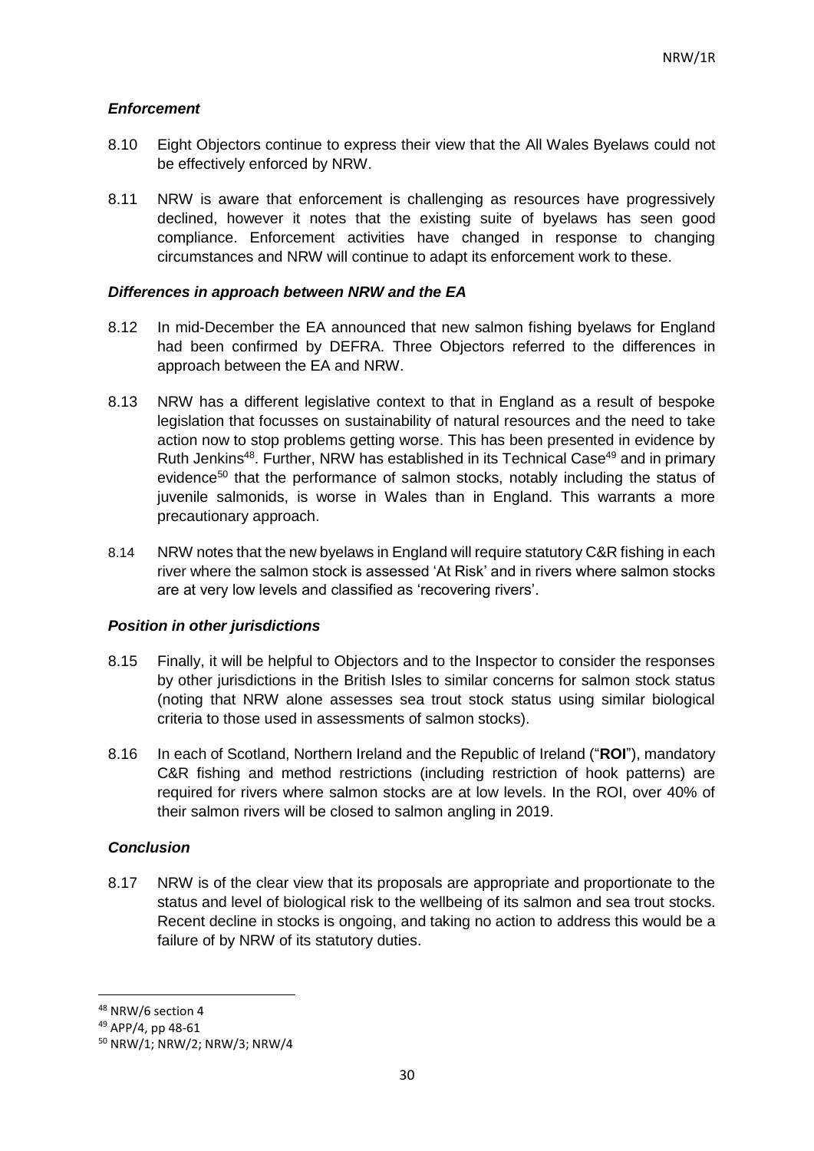# *Enforcement*

- 8.10 Eight Objectors continue to express their view that the All Wales Byelaws could not be effectively enforced by NRW.
- 8.11 NRW is aware that enforcement is challenging as resources have progressively declined, however it notes that the existing suite of byelaws has seen good compliance. Enforcement activities have changed in response to changing circumstances and NRW will continue to adapt its enforcement work to these.

# *Differences in approach between NRW and the EA*

- 8.12 In mid-December the EA announced that new salmon fishing byelaws for England had been confirmed by DEFRA. Three Objectors referred to the differences in approach between the EA and NRW.
- 8.13 NRW has a different legislative context to that in England as a result of bespoke legislation that focusses on sustainability of natural resources and the need to take action now to stop problems getting worse. This has been presented in evidence by Ruth Jenkins<sup>48</sup>. Further, NRW has established in its Technical Case<sup>49</sup> and in primary evidence<sup>50</sup> that the performance of salmon stocks, notably including the status of juvenile salmonids, is worse in Wales than in England. This warrants a more precautionary approach.
- 8.14 NRW notes that the new byelaws in England will require statutory C&R fishing in each river where the salmon stock is assessed 'At Risk' and in rivers where salmon stocks are at very low levels and classified as 'recovering rivers'.

# *Position in other jurisdictions*

- 8.15 Finally, it will be helpful to Objectors and to the Inspector to consider the responses by other jurisdictions in the British Isles to similar concerns for salmon stock status (noting that NRW alone assesses sea trout stock status using similar biological criteria to those used in assessments of salmon stocks).
- 8.16 In each of Scotland, Northern Ireland and the Republic of Ireland ("**ROI**"), mandatory C&R fishing and method restrictions (including restriction of hook patterns) are required for rivers where salmon stocks are at low levels. In the ROI, over 40% of their salmon rivers will be closed to salmon angling in 2019.

# *Conclusion*

8.17 NRW is of the clear view that its proposals are appropriate and proportionate to the status and level of biological risk to the wellbeing of its salmon and sea trout stocks. Recent decline in stocks is ongoing, and taking no action to address this would be a failure of by NRW of its statutory duties.

<sup>48</sup> NRW/6 section 4

<sup>49</sup> APP/4, pp 48-61

<sup>50</sup> NRW/1; NRW/2; NRW/3; NRW/4